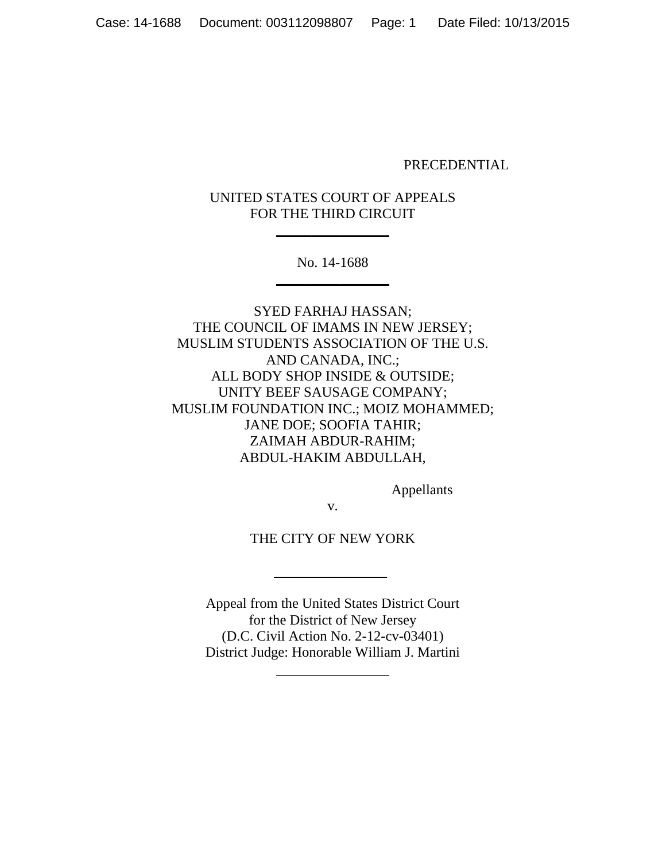#### PRECEDENTIAL

# UNITED STATES COURT OF APPEALS FOR THE THIRD CIRCUIT

\_\_\_\_\_\_\_\_\_\_\_\_\_\_\_\_

No. 14-1688  $\overline{\phantom{a}}$  . The set of the set of the set of the set of the set of the set of the set of the set of the set of the set of the set of the set of the set of the set of the set of the set of the set of the set of the set o

SYED FARHAJ HASSAN; THE COUNCIL OF IMAMS IN NEW JERSEY; MUSLIM STUDENTS ASSOCIATION OF THE U.S. AND CANADA, INC.; ALL BODY SHOP INSIDE & OUTSIDE; UNITY BEEF SAUSAGE COMPANY; MUSLIM FOUNDATION INC.; MOIZ MOHAMMED; JANE DOE; SOOFIA TAHIR; ZAIMAH ABDUR-RAHIM; ABDUL-HAKIM ABDULLAH,

Appellants

v.

THE CITY OF NEW YORK

 $\frac{1}{\sqrt{2}}$  ,  $\frac{1}{\sqrt{2}}$  ,  $\frac{1}{\sqrt{2}}$  ,  $\frac{1}{\sqrt{2}}$  ,  $\frac{1}{\sqrt{2}}$  ,  $\frac{1}{\sqrt{2}}$  ,  $\frac{1}{\sqrt{2}}$  ,  $\frac{1}{\sqrt{2}}$  ,  $\frac{1}{\sqrt{2}}$  ,  $\frac{1}{\sqrt{2}}$  ,  $\frac{1}{\sqrt{2}}$  ,  $\frac{1}{\sqrt{2}}$  ,  $\frac{1}{\sqrt{2}}$  ,  $\frac{1}{\sqrt{2}}$  ,  $\frac{1}{\sqrt{2}}$ 

Appeal from the United States District Court for the District of New Jersey (D.C. Civil Action No. 2-12-cv-03401) District Judge: Honorable William J. Martini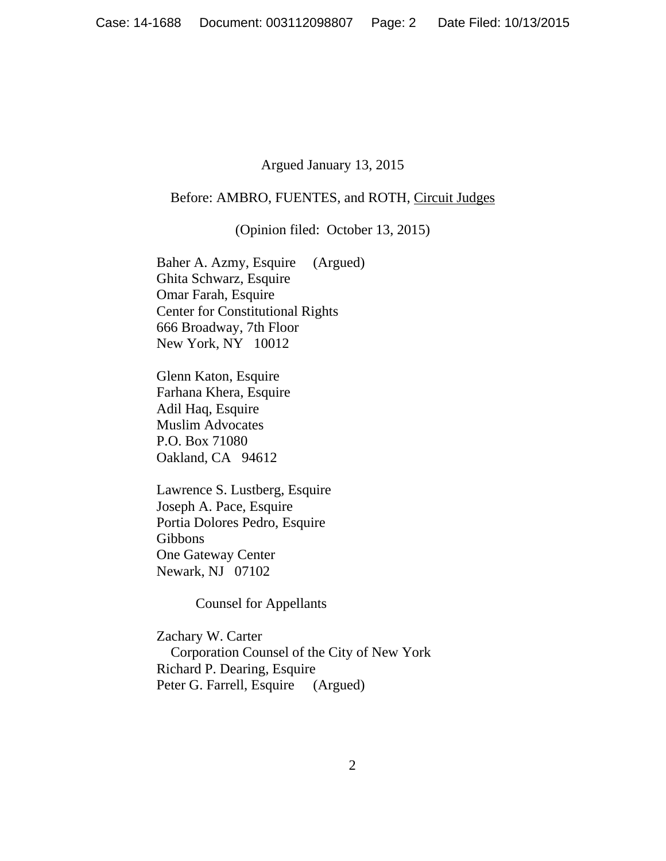### Argued January 13, 2015

#### Before: AMBRO, FUENTES, and ROTH, Circuit Judges

(Opinion filed: October 13, 2015)

Baher A. Azmy, Esquire (Argued) Ghita Schwarz, Esquire Omar Farah, Esquire Center for Constitutional Rights 666 Broadway, 7th Floor New York, NY 10012

Glenn Katon, Esquire Farhana Khera, Esquire Adil Haq, Esquire Muslim Advocates P.O. Box 71080 Oakland, CA 94612

Lawrence S. Lustberg, Esquire Joseph A. Pace, Esquire Portia Dolores Pedro, Esquire Gibbons One Gateway Center Newark, NJ 07102

Counsel for Appellants

Zachary W. Carter Corporation Counsel of the City of New York Richard P. Dearing, Esquire Peter G. Farrell, Esquire (Argued)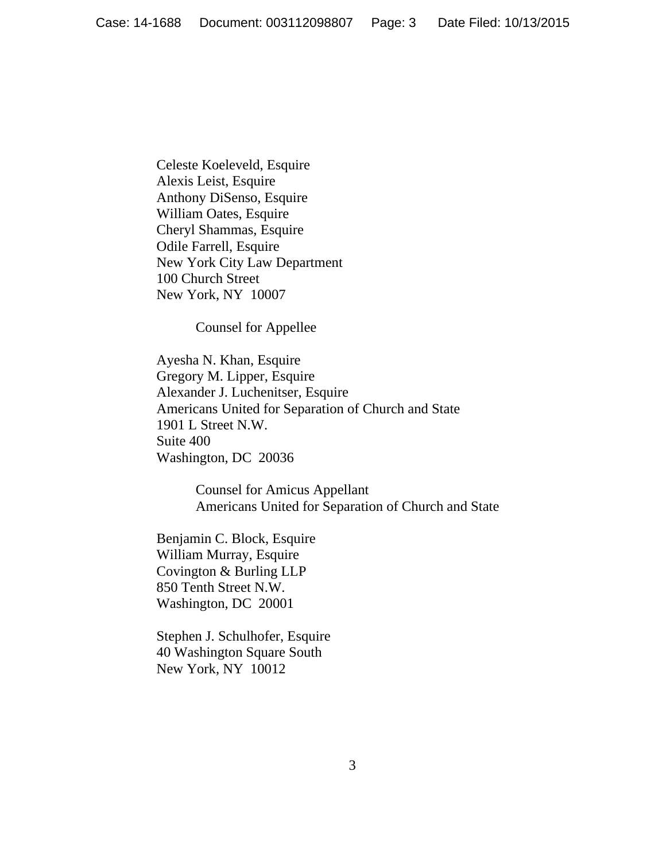Celeste Koeleveld, Esquire Alexis Leist, Esquire Anthony DiSenso, Esquire William Oates, Esquire Cheryl Shammas, Esquire Odile Farrell, Esquire New York City Law Department 100 Church Street New York, NY 10007

Counsel for Appellee

Ayesha N. Khan, Esquire Gregory M. Lipper, Esquire Alexander J. Luchenitser, Esquire Americans United for Separation of Church and State 1901 L Street N.W. Suite 400 Washington, DC 20036

> Counsel for Amicus Appellant Americans United for Separation of Church and State

Benjamin C. Block, Esquire William Murray, Esquire Covington & Burling LLP 850 Tenth Street N.W. Washington, DC 20001

Stephen J. Schulhofer, Esquire 40 Washington Square South New York, NY 10012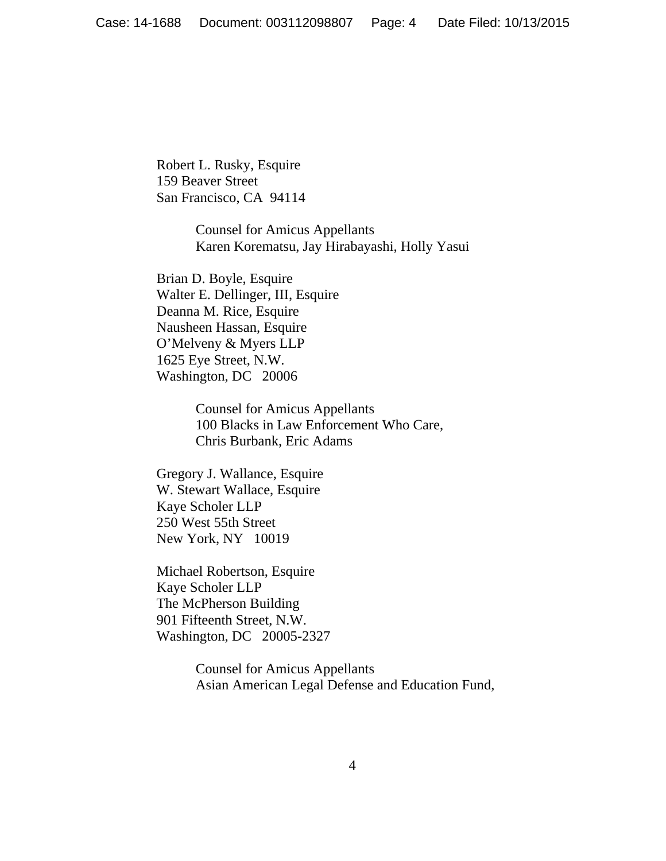Robert L. Rusky, Esquire 159 Beaver Street San Francisco, CA 94114

> Counsel for Amicus Appellants Karen Korematsu, Jay Hirabayashi, Holly Yasui

Brian D. Boyle, Esquire Walter E. Dellinger, III, Esquire Deanna M. Rice, Esquire Nausheen Hassan, Esquire O'Melveny & Myers LLP 1625 Eye Street, N.W. Washington, DC 20006

> Counsel for Amicus Appellants 100 Blacks in Law Enforcement Who Care, Chris Burbank, Eric Adams

Gregory J. Wallance, Esquire W. Stewart Wallace, Esquire Kaye Scholer LLP 250 West 55th Street New York, NY 10019

Michael Robertson, Esquire Kaye Scholer LLP The McPherson Building 901 Fifteenth Street, N.W. Washington, DC 20005-2327

> Counsel for Amicus Appellants Asian American Legal Defense and Education Fund,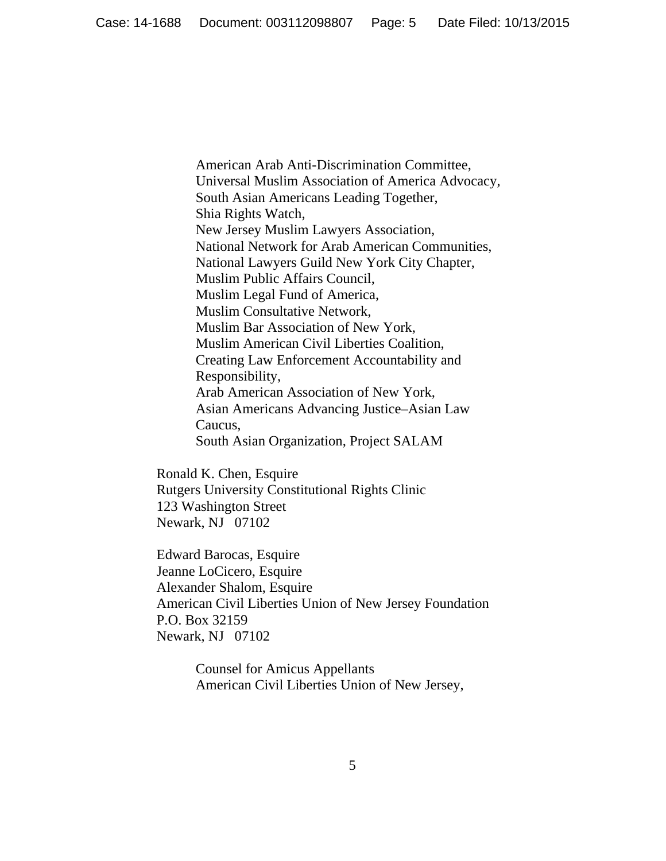American Arab Anti-Discrimination Committee, Universal Muslim Association of America Advocacy, South Asian Americans Leading Together, Shia Rights Watch, New Jersey Muslim Lawyers Association, National Network for Arab American Communities, National Lawyers Guild New York City Chapter, Muslim Public Affairs Council, Muslim Legal Fund of America, Muslim Consultative Network, Muslim Bar Association of New York, Muslim American Civil Liberties Coalition, Creating Law Enforcement Accountability and Responsibility, Arab American Association of New York, Asian Americans Advancing Justice–Asian Law Caucus, South Asian Organization, Project SALAM

Ronald K. Chen, Esquire Rutgers University Constitutional Rights Clinic 123 Washington Street Newark, NJ 07102

Edward Barocas, Esquire Jeanne LoCicero, Esquire Alexander Shalom, Esquire American Civil Liberties Union of New Jersey Foundation P.O. Box 32159 Newark, NJ 07102

> Counsel for Amicus Appellants American Civil Liberties Union of New Jersey,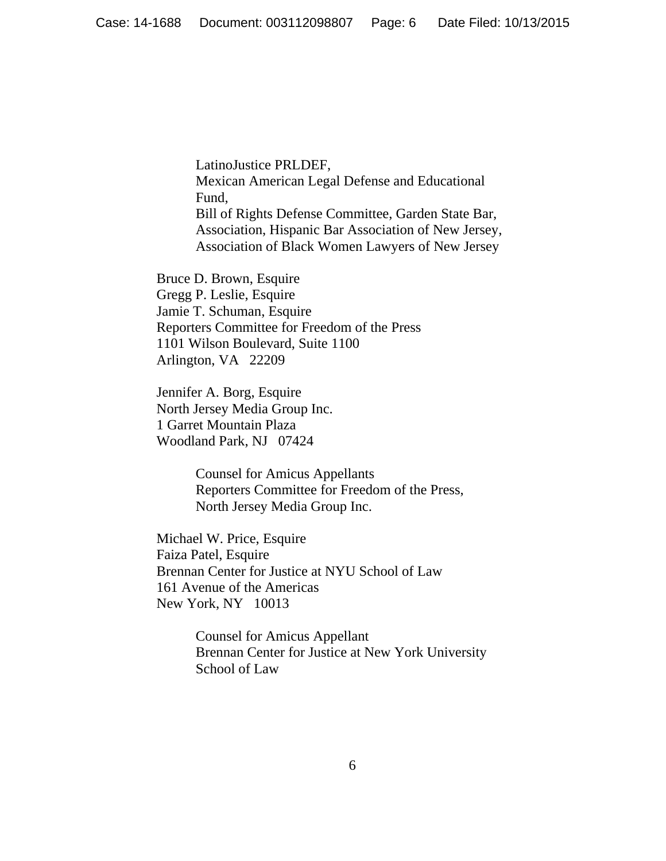LatinoJustice PRLDEF, Mexican American Legal Defense and Educational Fund, Bill of Rights Defense Committee, Garden State Bar, Association, Hispanic Bar Association of New Jersey, Association of Black Women Lawyers of New Jersey

Bruce D. Brown, Esquire Gregg P. Leslie, Esquire Jamie T. Schuman, Esquire Reporters Committee for Freedom of the Press 1101 Wilson Boulevard, Suite 1100 Arlington, VA 22209

Jennifer A. Borg, Esquire North Jersey Media Group Inc. 1 Garret Mountain Plaza Woodland Park, NJ 07424

> Counsel for Amicus Appellants Reporters Committee for Freedom of the Press, North Jersey Media Group Inc.

Michael W. Price, Esquire Faiza Patel, Esquire Brennan Center for Justice at NYU School of Law 161 Avenue of the Americas New York, NY 10013

> Counsel for Amicus Appellant Brennan Center for Justice at New York University School of Law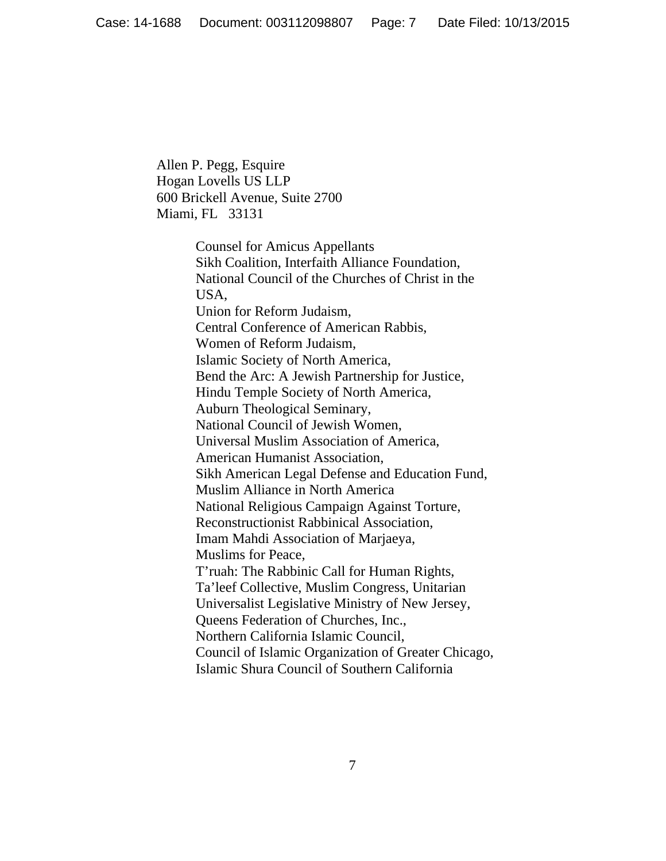Allen P. Pegg, Esquire Hogan Lovells US LLP 600 Brickell Avenue, Suite 2700 Miami, FL 33131

> Counsel for Amicus Appellants Sikh Coalition, Interfaith Alliance Foundation, National Council of the Churches of Christ in the USA, Union for Reform Judaism, Central Conference of American Rabbis, Women of Reform Judaism, Islamic Society of North America, Bend the Arc: A Jewish Partnership for Justice, Hindu Temple Society of North America, Auburn Theological Seminary, National Council of Jewish Women, Universal Muslim Association of America, American Humanist Association, Sikh American Legal Defense and Education Fund, Muslim Alliance in North America National Religious Campaign Against Torture, Reconstructionist Rabbinical Association, Imam Mahdi Association of Marjaeya, Muslims for Peace, T'ruah: The Rabbinic Call for Human Rights, Ta'leef Collective, Muslim Congress, Unitarian Universalist Legislative Ministry of New Jersey, Queens Federation of Churches, Inc., Northern California Islamic Council, Council of Islamic Organization of Greater Chicago, Islamic Shura Council of Southern California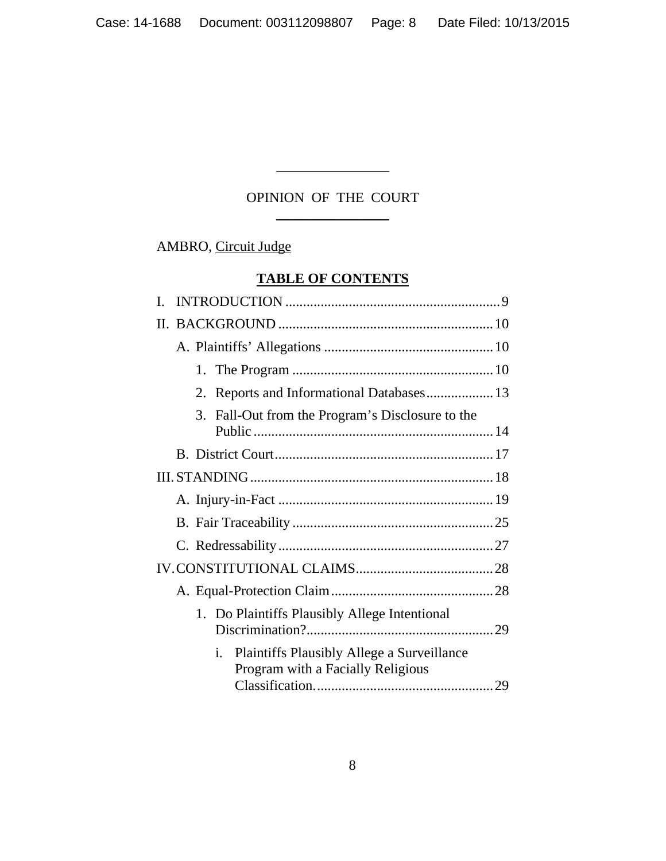# OPINION OF THE COURT \_\_\_\_\_\_\_\_\_\_\_\_\_\_\_\_

AMBRO, Circuit Judge

# **TABLE OF CONTENTS**

| L |                                                                                              |  |  |  |  |
|---|----------------------------------------------------------------------------------------------|--|--|--|--|
|   |                                                                                              |  |  |  |  |
|   |                                                                                              |  |  |  |  |
|   |                                                                                              |  |  |  |  |
|   | 2. Reports and Informational Databases 13                                                    |  |  |  |  |
|   | Fall-Out from the Program's Disclosure to the<br>3 <sub>1</sub>                              |  |  |  |  |
|   |                                                                                              |  |  |  |  |
|   |                                                                                              |  |  |  |  |
|   |                                                                                              |  |  |  |  |
|   |                                                                                              |  |  |  |  |
|   |                                                                                              |  |  |  |  |
|   |                                                                                              |  |  |  |  |
|   |                                                                                              |  |  |  |  |
|   | 1. Do Plaintiffs Plausibly Allege Intentional                                                |  |  |  |  |
|   | <b>Plaintiffs Plausibly Allege a Surveillance</b><br>i.<br>Program with a Facially Religious |  |  |  |  |
|   |                                                                                              |  |  |  |  |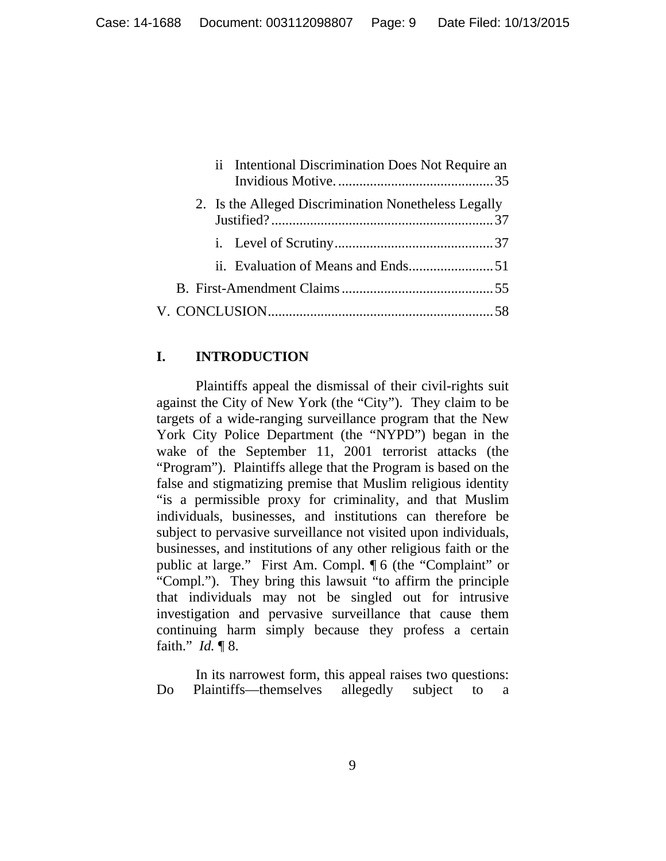|  | ii Intentional Discrimination Does Not Require an    |  |
|--|------------------------------------------------------|--|
|  | 2. Is the Alleged Discrimination Nonetheless Legally |  |
|  |                                                      |  |
|  |                                                      |  |
|  |                                                      |  |
|  |                                                      |  |

# **I. INTRODUCTION**

Plaintiffs appeal the dismissal of their civil-rights suit against the City of New York (the "City"). They claim to be targets of a wide-ranging surveillance program that the New York City Police Department (the "NYPD") began in the wake of the September 11, 2001 terrorist attacks (the "Program"). Plaintiffs allege that the Program is based on the false and stigmatizing premise that Muslim religious identity "is a permissible proxy for criminality, and that Muslim individuals, businesses, and institutions can therefore be subject to pervasive surveillance not visited upon individuals, businesses, and institutions of any other religious faith or the public at large." First Am. Compl. ¶ 6 (the "Complaint" or "Compl."). They bring this lawsuit "to affirm the principle that individuals may not be singled out for intrusive investigation and pervasive surveillance that cause them continuing harm simply because they profess a certain faith." *Id.* ¶ 8.

 In its narrowest form, this appeal raises two questions: Do Plaintiffs—themselves allegedly subject to a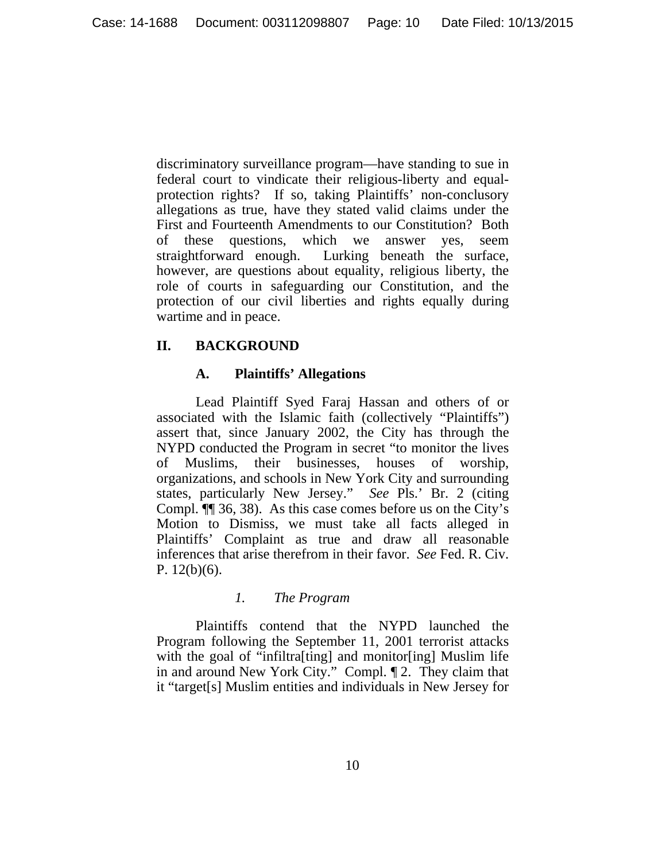discriminatory surveillance program—have standing to sue in federal court to vindicate their religious-liberty and equalprotection rights? If so, taking Plaintiffs' non-conclusory allegations as true, have they stated valid claims under the First and Fourteenth Amendments to our Constitution? Both of these questions, which we answer yes, seem straightforward enough. Lurking beneath the surface, however, are questions about equality, religious liberty, the role of courts in safeguarding our Constitution, and the protection of our civil liberties and rights equally during wartime and in peace.

# **II. BACKGROUND**

# **A. Plaintiffs' Allegations**

Lead Plaintiff Syed Faraj Hassan and others of or associated with the Islamic faith (collectively "Plaintiffs") assert that, since January 2002, the City has through the NYPD conducted the Program in secret "to monitor the lives of Muslims, their businesses, houses of worship, organizations, and schools in New York City and surrounding states, particularly New Jersey." *See* Pls.' Br. 2 (citing Compl. ¶¶ 36, 38). As this case comes before us on the City's Motion to Dismiss, we must take all facts alleged in Plaintiffs' Complaint as true and draw all reasonable inferences that arise therefrom in their favor. *See* Fed. R. Civ. P.  $12(b)(6)$ .

# *1. The Program*

 Plaintiffs contend that the NYPD launched the Program following the September 11, 2001 terrorist attacks with the goal of "infiltra[ting] and monitor[ing] Muslim life in and around New York City." Compl. ¶ 2. They claim that it "target[s] Muslim entities and individuals in New Jersey for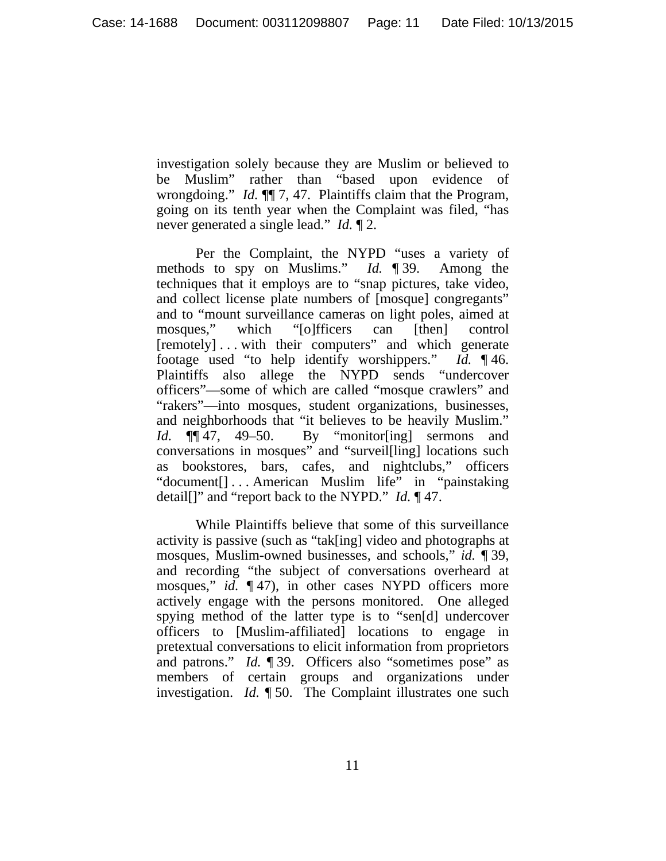investigation solely because they are Muslim or believed to be Muslim" rather than "based upon evidence of wrongdoing." *Id.* ¶¶ 7, 47. Plaintiffs claim that the Program, going on its tenth year when the Complaint was filed, "has never generated a single lead." *Id.* ¶ 2.

 Per the Complaint, the NYPD "uses a variety of methods to spy on Muslims." *Id.* ¶ 39. Among the techniques that it employs are to "snap pictures, take video, and collect license plate numbers of [mosque] congregants" and to "mount surveillance cameras on light poles, aimed at mosques," which "[o]fficers can [then] control [remotely] . . . with their computers" and which generate footage used "to help identify worshippers." *Id.* ¶ 46. Plaintiffs also allege the NYPD sends "undercover officers"—some of which are called "mosque crawlers" and "rakers"—into mosques, student organizations, businesses, and neighborhoods that "it believes to be heavily Muslim." *Id.* ¶¶ 47, 49–50. By "monitor[ing] sermons and conversations in mosques" and "surveil[ling] locations such as bookstores, bars, cafes, and nightclubs," officers "document[] . . . American Muslim life" in "painstaking detail[]" and "report back to the NYPD." *Id.* ¶ 47.

 While Plaintiffs believe that some of this surveillance activity is passive (such as "tak[ing] video and photographs at mosques, Muslim-owned businesses, and schools," *id.* ¶ 39, and recording "the subject of conversations overheard at mosques," *id.* [47], in other cases NYPD officers more actively engage with the persons monitored. One alleged spying method of the latter type is to "sen[d] undercover officers to [Muslim-affiliated] locations to engage in pretextual conversations to elicit information from proprietors and patrons." *Id.* ¶ 39. Officers also "sometimes pose" as members of certain groups and organizations under investigation. *Id.* ¶ 50. The Complaint illustrates one such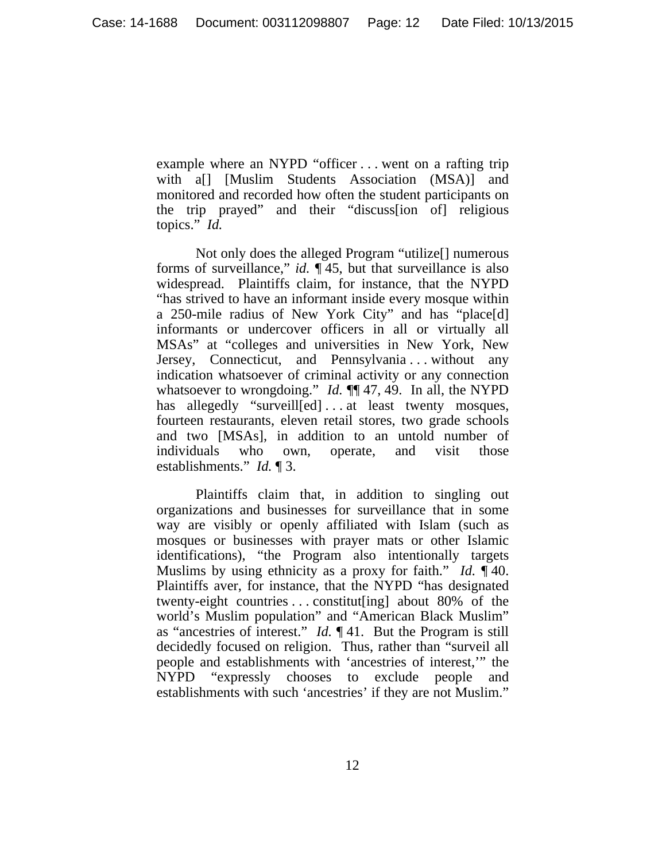example where an NYPD "officer . . . went on a rafting trip with a<sup>[]</sup> [Muslim Students Association (MSA)] and monitored and recorded how often the student participants on the trip prayed" and their "discuss[ion of] religious topics." *Id.*

 Not only does the alleged Program "utilize[] numerous forms of surveillance," *id.* ¶ 45, but that surveillance is also widespread. Plaintiffs claim, for instance, that the NYPD "has strived to have an informant inside every mosque within a 250-mile radius of New York City" and has "place[d] informants or undercover officers in all or virtually all MSAs" at "colleges and universities in New York, New Jersey, Connecticut, and Pennsylvania . . . without any indication whatsoever of criminal activity or any connection whatsoever to wrongdoing." *Id.*  $\P\P$  47, 49. In all, the NYPD has allegedly "surveill[ed] ... at least twenty mosques, fourteen restaurants, eleven retail stores, two grade schools and two [MSAs], in addition to an untold number of individuals who own, operate, and visit those establishments." *Id.* ¶ 3.

 Plaintiffs claim that, in addition to singling out organizations and businesses for surveillance that in some way are visibly or openly affiliated with Islam (such as mosques or businesses with prayer mats or other Islamic identifications), "the Program also intentionally targets Muslims by using ethnicity as a proxy for faith." *Id.* ¶ 40. Plaintiffs aver, for instance, that the NYPD "has designated twenty-eight countries . . . constitut[ing] about 80% of the world's Muslim population" and "American Black Muslim" as "ancestries of interest." *Id.* ¶ 41. But the Program is still decidedly focused on religion. Thus, rather than "surveil all people and establishments with 'ancestries of interest,'" the NYPD "expressly chooses to exclude people and establishments with such 'ancestries' if they are not Muslim."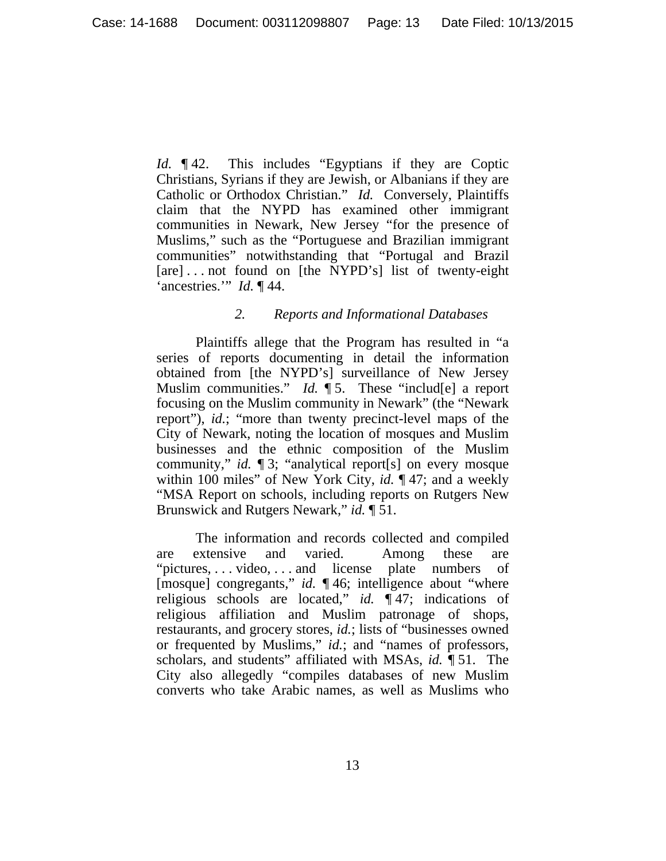*Id.* 142. This includes "Egyptians if they are Coptic Christians, Syrians if they are Jewish, or Albanians if they are Catholic or Orthodox Christian." *Id.* Conversely, Plaintiffs claim that the NYPD has examined other immigrant communities in Newark, New Jersey "for the presence of Muslims," such as the "Portuguese and Brazilian immigrant communities" notwithstanding that "Portugal and Brazil [are] ... not found on [the NYPD's] list of twenty-eight 'ancestries.'" *Id.* ¶ 44.

# *2. Reports and Informational Databases*

 Plaintiffs allege that the Program has resulted in "a series of reports documenting in detail the information obtained from [the NYPD's] surveillance of New Jersey Muslim communities." *Id.* ¶ 5. These "includ[e] a report focusing on the Muslim community in Newark" (the "Newark report"), *id.*; "more than twenty precinct-level maps of the City of Newark, noting the location of mosques and Muslim businesses and the ethnic composition of the Muslim community," *id.* ¶ 3; "analytical report[s] on every mosque within 100 miles" of New York City, *id.* ¶ 47; and a weekly "MSA Report on schools, including reports on Rutgers New Brunswick and Rutgers Newark," *id.* ¶ 51.

 The information and records collected and compiled are extensive and varied. Among these are "pictures, . . . video, . . . and license plate numbers of [mosque] congregants," *id.* ¶ 46; intelligence about "where religious schools are located," *id.* ¶ 47; indications of religious affiliation and Muslim patronage of shops, restaurants, and grocery stores, *id.*; lists of "businesses owned or frequented by Muslims," *id.*; and "names of professors, scholars, and students" affiliated with MSAs, *id.* ¶ 51. The City also allegedly "compiles databases of new Muslim converts who take Arabic names, as well as Muslims who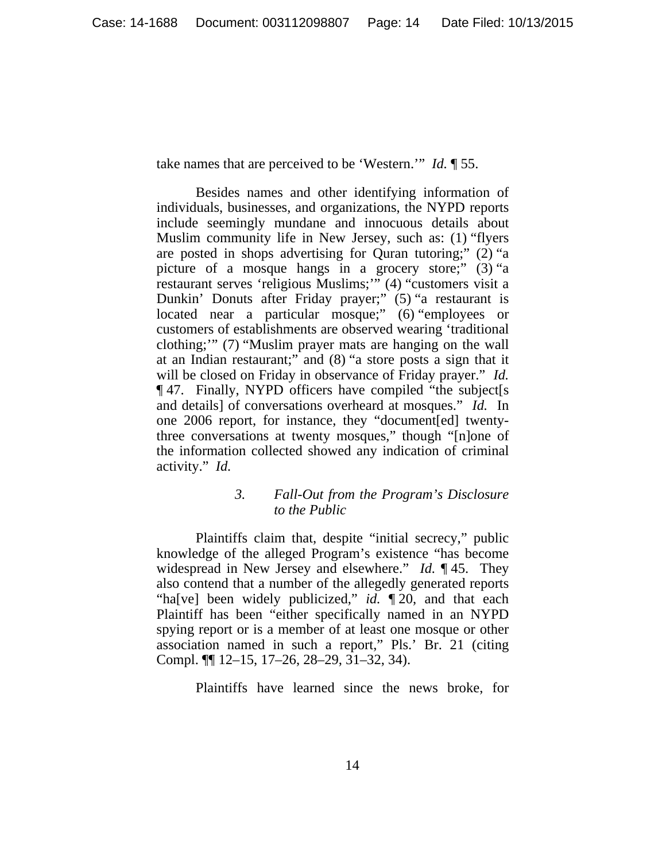take names that are perceived to be 'Western.'" *Id.* ¶ 55.

 Besides names and other identifying information of individuals, businesses, and organizations, the NYPD reports include seemingly mundane and innocuous details about Muslim community life in New Jersey, such as: (1) "flyers are posted in shops advertising for Quran tutoring;" (2) "a picture of a mosque hangs in a grocery store;" (3) "a restaurant serves 'religious Muslims;'" (4) "customers visit a Dunkin' Donuts after Friday prayer;" (5) "a restaurant is located near a particular mosque;" (6) "employees or customers of establishments are observed wearing 'traditional clothing;'" (7) "Muslim prayer mats are hanging on the wall at an Indian restaurant;" and (8) "a store posts a sign that it will be closed on Friday in observance of Friday prayer." *Id.* ¶ 47. Finally, NYPD officers have compiled "the subject[s and details] of conversations overheard at mosques." *Id.* In one 2006 report, for instance, they "document[ed] twentythree conversations at twenty mosques," though "[n]one of the information collected showed any indication of criminal activity." *Id.*

#### *3. Fall-Out from the Program's Disclosure to the Public*

 Plaintiffs claim that, despite "initial secrecy," public knowledge of the alleged Program's existence "has become widespread in New Jersey and elsewhere." *Id.* ¶ 45. They also contend that a number of the allegedly generated reports "ha[ve] been widely publicized," *id.* ¶ 20, and that each Plaintiff has been "either specifically named in an NYPD spying report or is a member of at least one mosque or other association named in such a report," Pls.' Br. 21 (citing Compl. ¶¶ 12–15, 17–26, 28–29, 31–32, 34).

Plaintiffs have learned since the news broke, for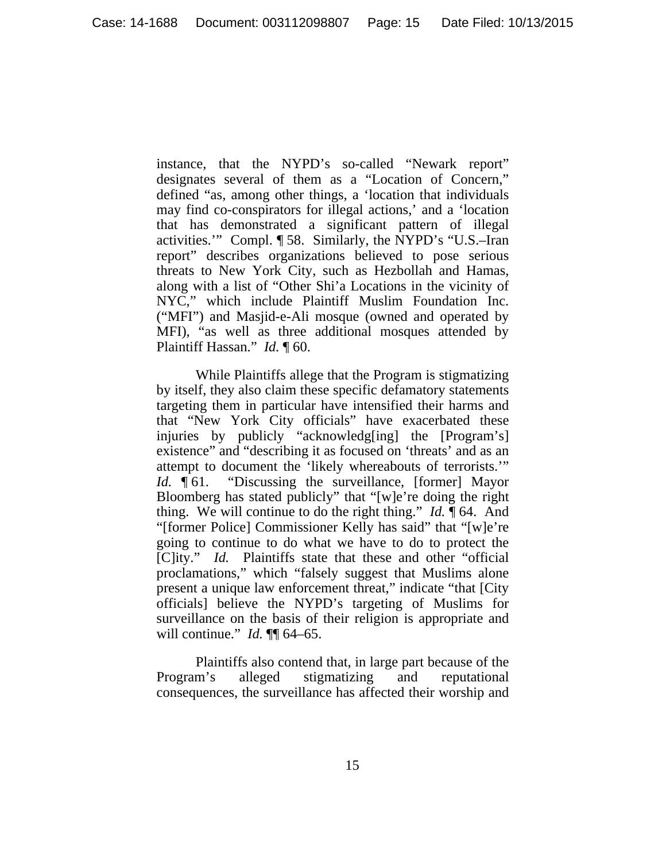instance, that the NYPD's so-called "Newark report" designates several of them as a "Location of Concern," defined "as, among other things, a 'location that individuals may find co-conspirators for illegal actions,' and a 'location that has demonstrated a significant pattern of illegal activities.'" Compl. ¶ 58. Similarly, the NYPD's "U.S.–Iran report" describes organizations believed to pose serious threats to New York City, such as Hezbollah and Hamas, along with a list of "Other Shi'a Locations in the vicinity of NYC," which include Plaintiff Muslim Foundation Inc. ("MFI") and Masjid-e-Ali mosque (owned and operated by MFI), "as well as three additional mosques attended by Plaintiff Hassan." *Id.* ¶ 60.

 While Plaintiffs allege that the Program is stigmatizing by itself, they also claim these specific defamatory statements targeting them in particular have intensified their harms and that "New York City officials" have exacerbated these injuries by publicly "acknowledg[ing] the [Program's] existence" and "describing it as focused on 'threats' and as an attempt to document the 'likely whereabouts of terrorists.'" *Id.* ¶ 61. "Discussing the surveillance, [former] Mayor Bloomberg has stated publicly" that "[w]e're doing the right thing. We will continue to do the right thing." *Id.* ¶ 64. And "[former Police] Commissioner Kelly has said" that "[w]e're going to continue to do what we have to do to protect the [C]ity." *Id.* Plaintiffs state that these and other "official proclamations," which "falsely suggest that Muslims alone present a unique law enforcement threat," indicate "that [City officials] believe the NYPD's targeting of Muslims for surveillance on the basis of their religion is appropriate and will continue." *Id.* ¶¶ 64–65.

 Plaintiffs also contend that, in large part because of the Program's alleged stigmatizing and reputational consequences, the surveillance has affected their worship and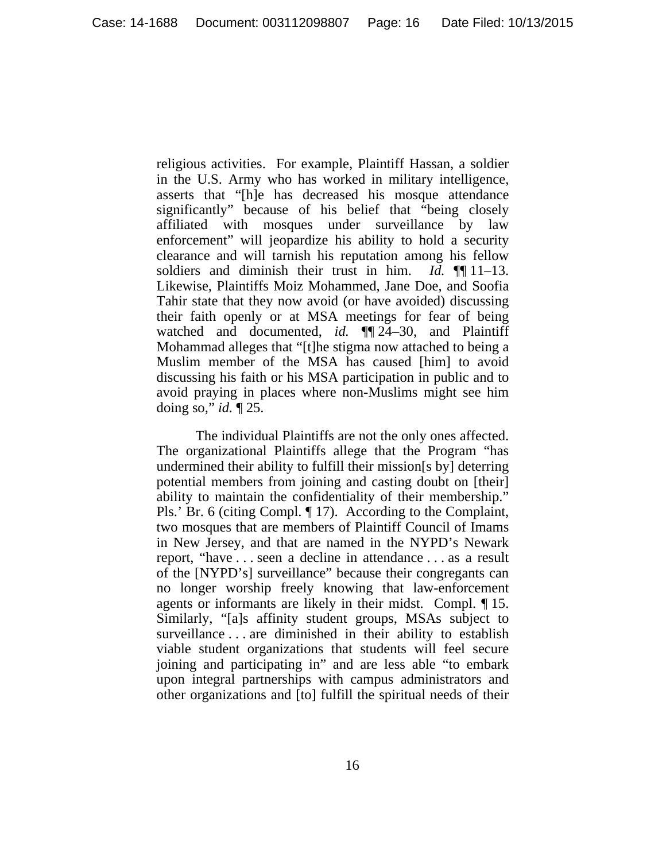religious activities. For example, Plaintiff Hassan, a soldier in the U.S. Army who has worked in military intelligence, asserts that "[h]e has decreased his mosque attendance significantly" because of his belief that "being closely affiliated with mosques under surveillance by law enforcement" will jeopardize his ability to hold a security clearance and will tarnish his reputation among his fellow soldiers and diminish their trust in him. *Id.* ¶¶ 11–13. Likewise, Plaintiffs Moiz Mohammed, Jane Doe, and Soofia Tahir state that they now avoid (or have avoided) discussing their faith openly or at MSA meetings for fear of being watched and documented, *id.* ¶¶ 24–30, and Plaintiff Mohammad alleges that "[t]he stigma now attached to being a Muslim member of the MSA has caused [him] to avoid discussing his faith or his MSA participation in public and to avoid praying in places where non-Muslims might see him doing so," *id.* ¶ 25.

 The individual Plaintiffs are not the only ones affected. The organizational Plaintiffs allege that the Program "has undermined their ability to fulfill their mission[s by] deterring potential members from joining and casting doubt on [their] ability to maintain the confidentiality of their membership." Pls.' Br. 6 (citing Compl. ¶ 17). According to the Complaint, two mosques that are members of Plaintiff Council of Imams in New Jersey, and that are named in the NYPD's Newark report, "have . . . seen a decline in attendance . . . as a result of the [NYPD's] surveillance" because their congregants can no longer worship freely knowing that law-enforcement agents or informants are likely in their midst. Compl. ¶ 15. Similarly, "[a]s affinity student groups, MSAs subject to surveillance . . . are diminished in their ability to establish viable student organizations that students will feel secure joining and participating in" and are less able "to embark upon integral partnerships with campus administrators and other organizations and [to] fulfill the spiritual needs of their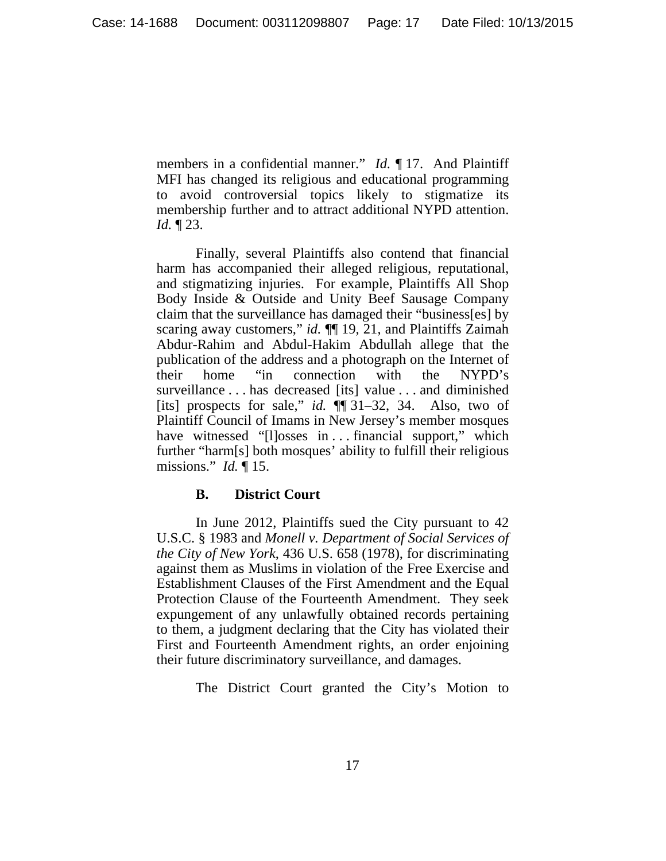members in a confidential manner." *Id.* ¶ 17. And Plaintiff MFI has changed its religious and educational programming to avoid controversial topics likely to stigmatize its membership further and to attract additional NYPD attention. *Id.* ¶ 23.

 Finally, several Plaintiffs also contend that financial harm has accompanied their alleged religious, reputational, and stigmatizing injuries. For example, Plaintiffs All Shop Body Inside & Outside and Unity Beef Sausage Company claim that the surveillance has damaged their "business[es] by scaring away customers," *id.*  $\P$  19, 21, and Plaintiffs Zaimah Abdur-Rahim and Abdul-Hakim Abdullah allege that the publication of the address and a photograph on the Internet of their home "in connection with the NYPD's surveillance . . . has decreased [its] value . . . and diminished [its] prospects for sale," *id.* ¶¶ 31–32, 34. Also, two of Plaintiff Council of Imams in New Jersey's member mosques have witnessed "[l]osses in ... financial support," which further "harm[s] both mosques' ability to fulfill their religious missions." *Id.* ¶ 15.

# **B. District Court**

 In June 2012, Plaintiffs sued the City pursuant to 42 U.S.C. § 1983 and *Monell v. Department of Social Services of the City of New York*, 436 U.S. 658 (1978), for discriminating against them as Muslims in violation of the Free Exercise and Establishment Clauses of the First Amendment and the Equal Protection Clause of the Fourteenth Amendment. They seek expungement of any unlawfully obtained records pertaining to them, a judgment declaring that the City has violated their First and Fourteenth Amendment rights, an order enjoining their future discriminatory surveillance, and damages.

The District Court granted the City's Motion to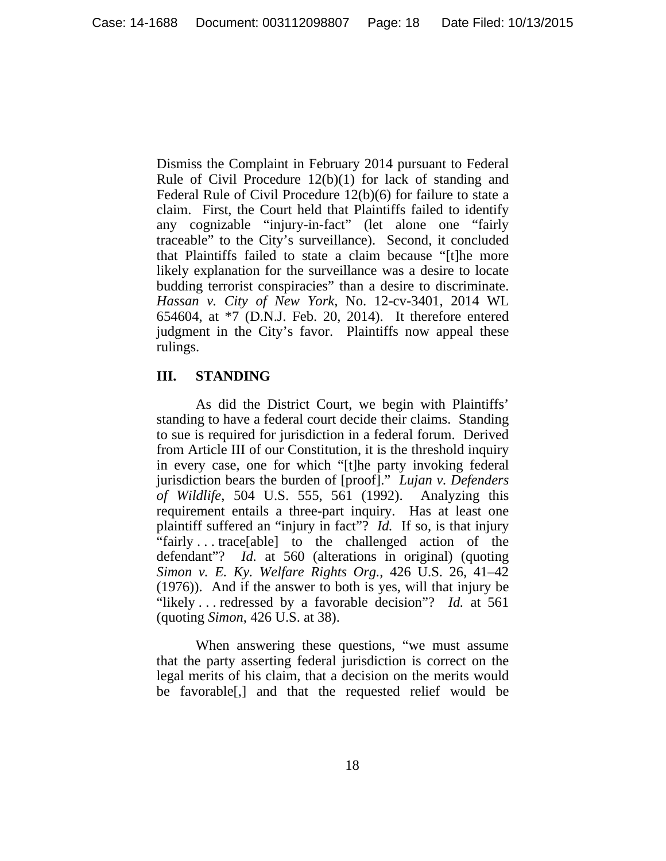Dismiss the Complaint in February 2014 pursuant to Federal Rule of Civil Procedure 12(b)(1) for lack of standing and Federal Rule of Civil Procedure 12(b)(6) for failure to state a claim. First, the Court held that Plaintiffs failed to identify any cognizable "injury-in-fact" (let alone one "fairly traceable" to the City's surveillance). Second, it concluded that Plaintiffs failed to state a claim because "[t]he more likely explanation for the surveillance was a desire to locate budding terrorist conspiracies" than a desire to discriminate. *Hassan v. City of New York*, No. 12-cv-3401, 2014 WL 654604, at \*7 (D.N.J. Feb. 20, 2014). It therefore entered judgment in the City's favor. Plaintiffs now appeal these rulings.

# **III. STANDING**

As did the District Court, we begin with Plaintiffs' standing to have a federal court decide their claims. Standing to sue is required for jurisdiction in a federal forum. Derived from Article III of our Constitution, it is the threshold inquiry in every case, one for which "[t]he party invoking federal jurisdiction bears the burden of [proof]." *Lujan v. Defenders of Wildlife*, 504 U.S. 555, 561 (1992). Analyzing this requirement entails a three-part inquiry. Has at least one plaintiff suffered an "injury in fact"? *Id.* If so, is that injury "fairly . . . trace[able] to the challenged action of the defendant"? *Id.* at 560 (alterations in original) (quoting *Simon v. E. Ky. Welfare Rights Org.*, 426 U.S. 26, 41–42 (1976)). And if the answer to both is yes, will that injury be "likely . . . redressed by a favorable decision"? *Id.* at 561 (quoting *Simon*, 426 U.S. at 38).

 When answering these questions, "we must assume that the party asserting federal jurisdiction is correct on the legal merits of his claim, that a decision on the merits would be favorable[,] and that the requested relief would be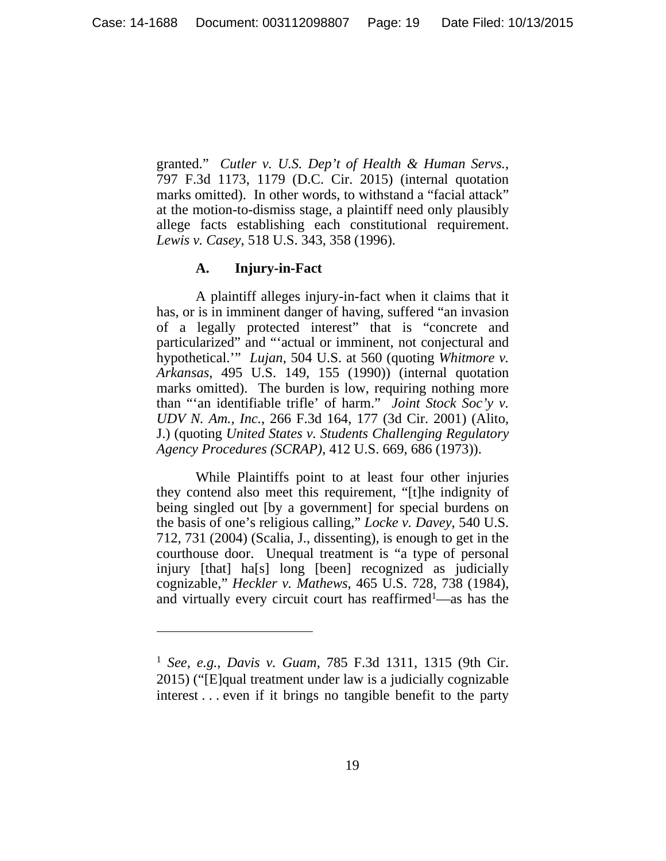granted." *Cutler v. U.S. Dep't of Health & Human Servs.*, 797 F.3d 1173, 1179 (D.C. Cir. 2015) (internal quotation marks omitted). In other words, to withstand a "facial attack" at the motion-to-dismiss stage, a plaintiff need only plausibly allege facts establishing each constitutional requirement. *Lewis v. Casey*, 518 U.S. 343, 358 (1996).

#### **A. Injury-in-Fact**

 $\overline{a}$ 

 A plaintiff alleges injury-in-fact when it claims that it has, or is in imminent danger of having, suffered "an invasion of a legally protected interest" that is "concrete and particularized" and "'actual or imminent, not conjectural and hypothetical.'" *Lujan*, 504 U.S. at 560 (quoting *Whitmore v. Arkansas*, 495 U.S. 149, 155 (1990)) (internal quotation marks omitted). The burden is low, requiring nothing more than "'an identifiable trifle' of harm." *Joint Stock Soc'y v. UDV N. Am., Inc.*, 266 F.3d 164, 177 (3d Cir. 2001) (Alito, J.) (quoting *United States v. Students Challenging Regulatory Agency Procedures (SCRAP)*, 412 U.S. 669, 686 (1973)).

 While Plaintiffs point to at least four other injuries they contend also meet this requirement, "[t]he indignity of being singled out [by a government] for special burdens on the basis of one's religious calling," *Locke v. Davey*, 540 U.S. 712, 731 (2004) (Scalia, J., dissenting), is enough to get in the courthouse door. Unequal treatment is "a type of personal injury [that] ha[s] long [been] recognized as judicially cognizable," *Heckler v. Mathews*, 465 U.S. 728, 738 (1984), and virtually every circuit court has reaffirmed<sup>1</sup>—as has the

<sup>1</sup> *See, e.g.*, *Davis v. Guam*, 785 F.3d 1311, 1315 (9th Cir. 2015) ("[E]qual treatment under law is a judicially cognizable interest . . . even if it brings no tangible benefit to the party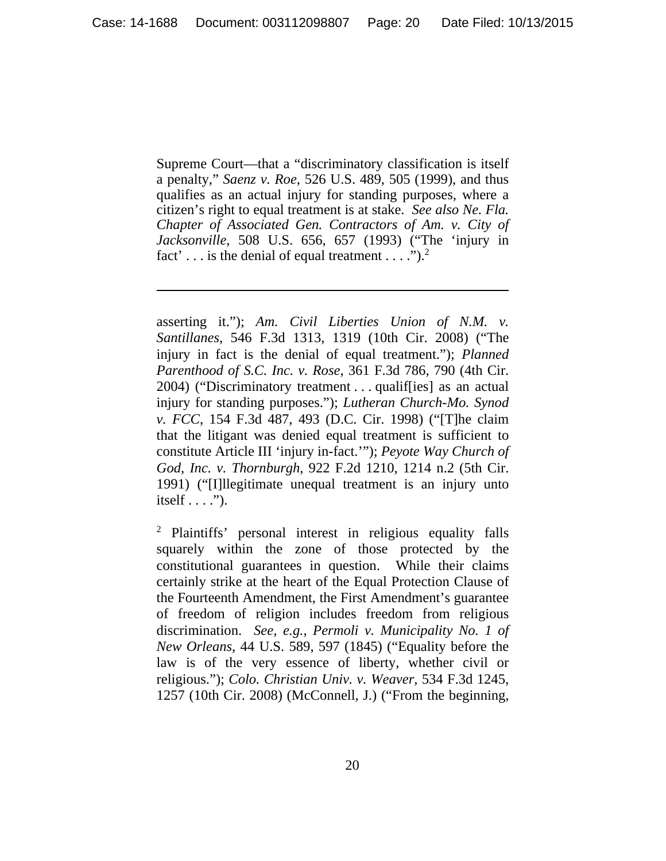Supreme Court—that a "discriminatory classification is itself a penalty," *Saenz v. Roe*, 526 U.S. 489, 505 (1999), and thus qualifies as an actual injury for standing purposes, where a citizen's right to equal treatment is at stake. *See also Ne. Fla. Chapter of Associated Gen. Contractors of Am. v. City of Jacksonville*, 508 U.S. 656, 657 (1993) ("The 'injury in fact'... is the denial of equal treatment ...." $)^2$ 

 $\overline{a}$ 

asserting it."); *Am. Civil Liberties Union of N.M. v. Santillanes*, 546 F.3d 1313, 1319 (10th Cir. 2008) ("The injury in fact is the denial of equal treatment."); *Planned Parenthood of S.C. Inc. v. Rose*, 361 F.3d 786, 790 (4th Cir. 2004) ("Discriminatory treatment . . . qualif[ies] as an actual injury for standing purposes."); *Lutheran Church-Mo. Synod v. FCC*, 154 F.3d 487, 493 (D.C. Cir. 1998) ("[T]he claim that the litigant was denied equal treatment is sufficient to constitute Article III 'injury in-fact.'"); *Peyote Way Church of God, Inc. v. Thornburgh*, 922 F.2d 1210, 1214 n.2 (5th Cir. 1991) ("[I]llegitimate unequal treatment is an injury unto itself  $\dots$ .").

2 Plaintiffs' personal interest in religious equality falls squarely within the zone of those protected by the constitutional guarantees in question. While their claims certainly strike at the heart of the Equal Protection Clause of the Fourteenth Amendment, the First Amendment's guarantee of freedom of religion includes freedom from religious discrimination. *See, e.g.*, *Permoli v. Municipality No. 1 of New Orleans*, 44 U.S. 589, 597 (1845) ("Equality before the law is of the very essence of liberty, whether civil or religious."); *Colo. Christian Univ. v. Weaver*, 534 F.3d 1245, 1257 (10th Cir. 2008) (McConnell, J.) ("From the beginning,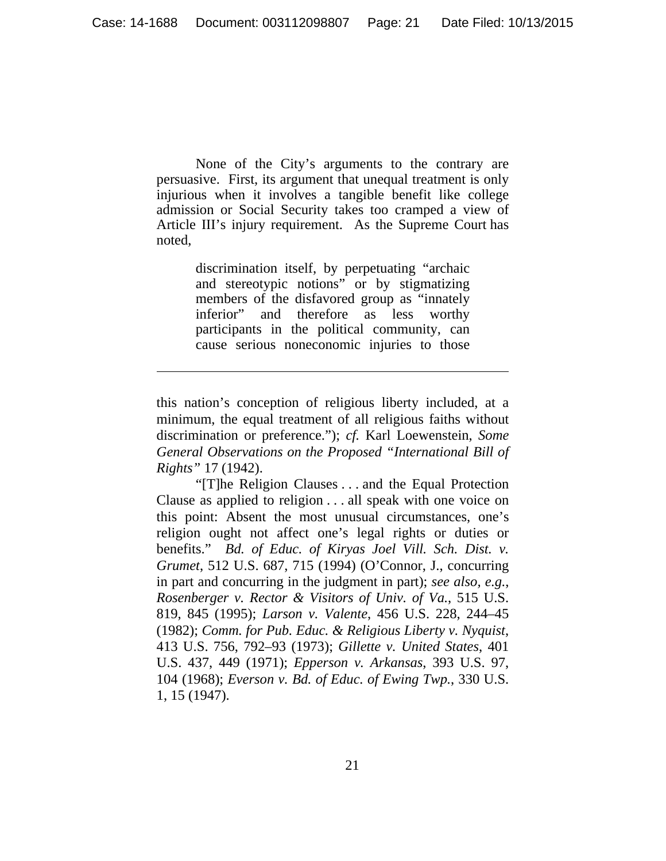None of the City's arguments to the contrary are persuasive. First, its argument that unequal treatment is only injurious when it involves a tangible benefit like college admission or Social Security takes too cramped a view of Article III's injury requirement. As the Supreme Court has noted,

> discrimination itself, by perpetuating "archaic and stereotypic notions" or by stigmatizing members of the disfavored group as "innately inferior" and therefore as less worthy participants in the political community, can cause serious noneconomic injuries to those

 $\overline{a}$ 

this nation's conception of religious liberty included, at a minimum, the equal treatment of all religious faiths without discrimination or preference."); *cf.* Karl Loewenstein, *Some General Observations on the Proposed "International Bill of Rights"* 17 (1942).

"[T]he Religion Clauses . . . and the Equal Protection Clause as applied to religion . . . all speak with one voice on this point: Absent the most unusual circumstances, one's religion ought not affect one's legal rights or duties or benefits." *Bd. of Educ. of Kiryas Joel Vill. Sch. Dist. v. Grumet*, 512 U.S. 687, 715 (1994) (O'Connor, J., concurring in part and concurring in the judgment in part); *see also, e.g.*, *Rosenberger v. Rector & Visitors of Univ. of Va.*, 515 U.S. 819, 845 (1995); *Larson v. Valente*, 456 U.S. 228, 244–45 (1982); *Comm. for Pub. Educ. & Religious Liberty v. Nyquist*, 413 U.S. 756, 792–93 (1973); *Gillette v. United States*, 401 U.S. 437, 449 (1971); *Epperson v. Arkansas*, 393 U.S. 97, 104 (1968); *Everson v. Bd. of Educ. of Ewing Twp.*, 330 U.S. 1, 15 (1947).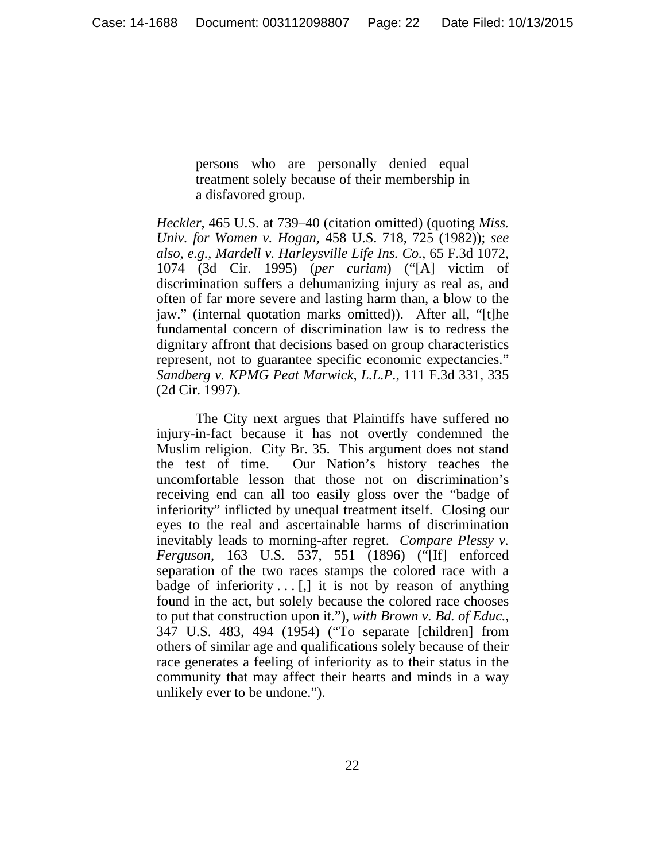persons who are personally denied equal treatment solely because of their membership in a disfavored group.

*Heckler*, 465 U.S. at 739–40 (citation omitted) (quoting *Miss. Univ. for Women v. Hogan,* 458 U.S. 718, 725 (1982)); *see also, e.g.*, *Mardell v. Harleysville Life Ins. Co.*, 65 F.3d 1072, 1074 (3d Cir. 1995) (*per curiam*) ("[A] victim of discrimination suffers a dehumanizing injury as real as, and often of far more severe and lasting harm than, a blow to the jaw." (internal quotation marks omitted)). After all, "[t]he fundamental concern of discrimination law is to redress the dignitary affront that decisions based on group characteristics represent, not to guarantee specific economic expectancies." *Sandberg v. KPMG Peat Marwick, L.L.P.*, 111 F.3d 331, 335 (2d Cir. 1997).

The City next argues that Plaintiffs have suffered no injury-in-fact because it has not overtly condemned the Muslim religion. City Br. 35. This argument does not stand the test of time. Our Nation's history teaches the uncomfortable lesson that those not on discrimination's receiving end can all too easily gloss over the "badge of inferiority" inflicted by unequal treatment itself. Closing our eyes to the real and ascertainable harms of discrimination inevitably leads to morning-after regret. *Compare Plessy v. Ferguson*, 163 U.S. 537, 551 (1896) ("[If] enforced separation of the two races stamps the colored race with a badge of inferiority  $\dots$  [,] it is not by reason of anything found in the act, but solely because the colored race chooses to put that construction upon it."), *with Brown v. Bd. of Educ.*, 347 U.S. 483, 494 (1954) ("To separate [children] from others of similar age and qualifications solely because of their race generates a feeling of inferiority as to their status in the community that may affect their hearts and minds in a way unlikely ever to be undone.").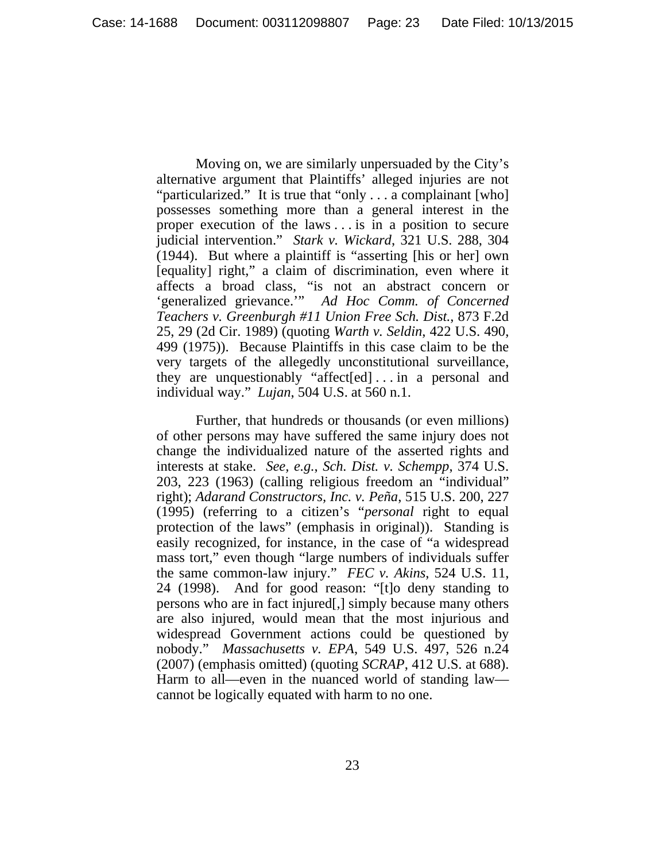Moving on, we are similarly unpersuaded by the City's alternative argument that Plaintiffs' alleged injuries are not "particularized." It is true that "only . . . a complainant [who] possesses something more than a general interest in the proper execution of the laws . . . is in a position to secure judicial intervention." *Stark v. Wickard*, 321 U.S. 288, 304 (1944). But where a plaintiff is "asserting [his or her] own [equality] right," a claim of discrimination, even where it affects a broad class, "is not an abstract concern or 'generalized grievance.'" *Ad Hoc Comm. of Concerned Teachers v. Greenburgh #11 Union Free Sch. Dist.*, 873 F.2d 25, 29 (2d Cir. 1989) (quoting *Warth v. Seldin*, 422 U.S. 490, 499 (1975)). Because Plaintiffs in this case claim to be the very targets of the allegedly unconstitutional surveillance, they are unquestionably "affect[ed] . . . in a personal and individual way." *Lujan*, 504 U.S. at 560 n.1.

Further, that hundreds or thousands (or even millions) of other persons may have suffered the same injury does not change the individualized nature of the asserted rights and interests at stake. *See, e.g.*, *Sch. Dist. v. Schempp*, 374 U.S. 203, 223 (1963) (calling religious freedom an "individual" right); *Adarand Constructors, Inc. v. Peña*, 515 U.S. 200, 227 (1995) (referring to a citizen's "*personal* right to equal protection of the laws" (emphasis in original)). Standing is easily recognized, for instance, in the case of "a widespread mass tort," even though "large numbers of individuals suffer the same common-law injury." *FEC v. Akins*, 524 U.S. 11, 24 (1998). And for good reason: "[t]o deny standing to persons who are in fact injured[,] simply because many others are also injured, would mean that the most injurious and widespread Government actions could be questioned by nobody." *Massachusetts v. EPA*, 549 U.S. 497, 526 n.24 (2007) (emphasis omitted) (quoting *SCRAP*, 412 U.S. at 688). Harm to all—even in the nuanced world of standing law cannot be logically equated with harm to no one.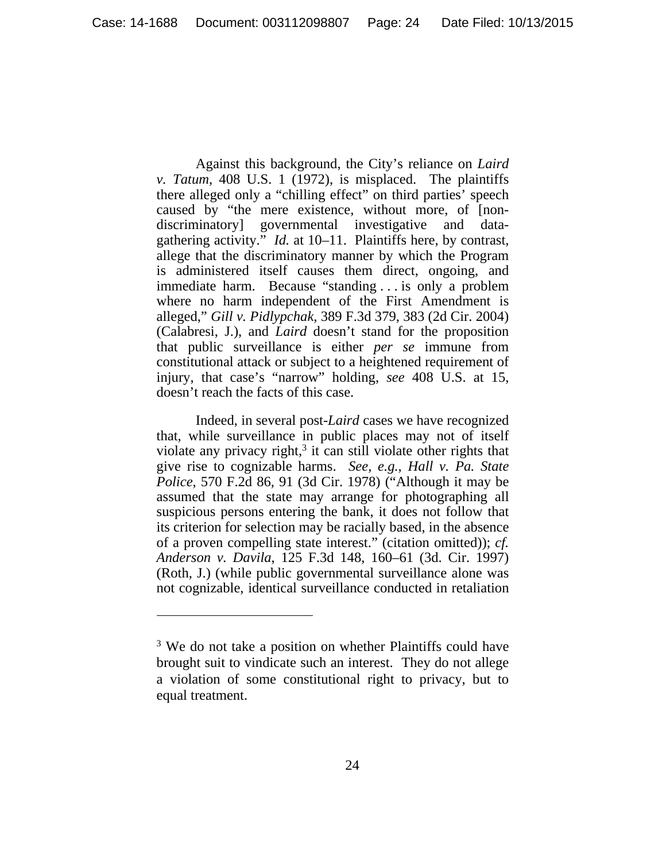Against this background, the City's reliance on *Laird v. Tatum*, 408 U.S. 1 (1972), is misplaced. The plaintiffs there alleged only a "chilling effect" on third parties' speech caused by "the mere existence, without more, of [nondiscriminatory] governmental investigative and datagathering activity." *Id.* at 10–11. Plaintiffs here, by contrast, allege that the discriminatory manner by which the Program is administered itself causes them direct, ongoing, and immediate harm. Because "standing . . . is only a problem where no harm independent of the First Amendment is alleged," *Gill v. Pidlypchak*, 389 F.3d 379, 383 (2d Cir. 2004) (Calabresi, J.), and *Laird* doesn't stand for the proposition that public surveillance is either *per se* immune from constitutional attack or subject to a heightened requirement of injury, that case's "narrow" holding, *see* 408 U.S. at 15, doesn't reach the facts of this case.

Indeed, in several post-*Laird* cases we have recognized that, while surveillance in public places may not of itself violate any privacy right, $3$  it can still violate other rights that give rise to cognizable harms. *See, e.g.*, *Hall v. Pa. State Police*, 570 F.2d 86, 91 (3d Cir. 1978) ("Although it may be assumed that the state may arrange for photographing all suspicious persons entering the bank, it does not follow that its criterion for selection may be racially based, in the absence of a proven compelling state interest." (citation omitted)); *cf. Anderson v. Davila*, 125 F.3d 148, 160–61 (3d. Cir. 1997) (Roth, J.) (while public governmental surveillance alone was not cognizable, identical surveillance conducted in retaliation

 $\overline{a}$ 

<sup>&</sup>lt;sup>3</sup> We do not take a position on whether Plaintiffs could have brought suit to vindicate such an interest. They do not allege a violation of some constitutional right to privacy, but to equal treatment.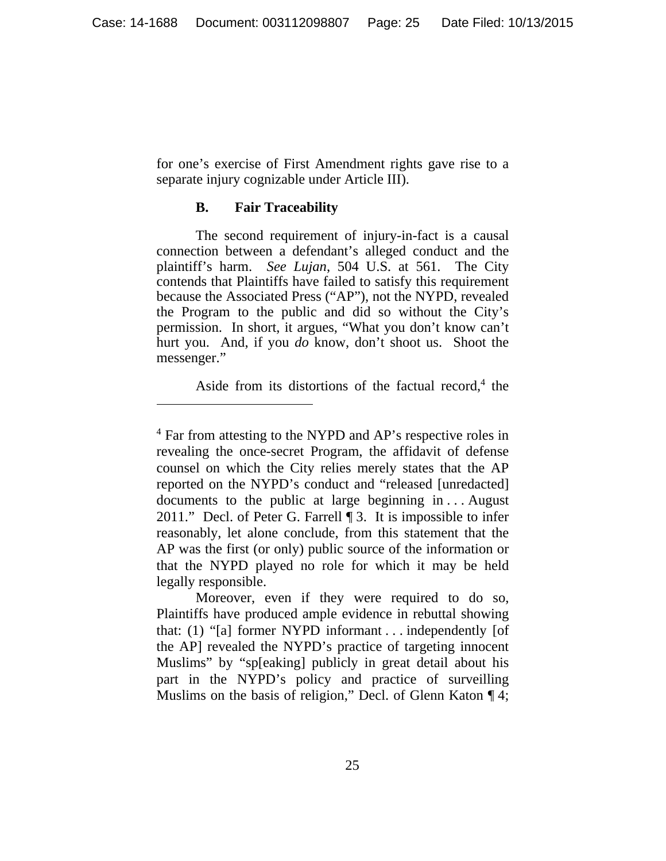for one's exercise of First Amendment rights gave rise to a separate injury cognizable under Article III).

### **B. Fair Traceability**

 $\overline{a}$ 

The second requirement of injury-in-fact is a causal connection between a defendant's alleged conduct and the plaintiff's harm. *See Lujan*, 504 U.S. at 561.The City contends that Plaintiffs have failed to satisfy this requirement because the Associated Press ("AP"), not the NYPD, revealed the Program to the public and did so without the City's permission. In short, it argues, "What you don't know can't hurt you. And, if you *do* know, don't shoot us. Shoot the messenger."

Aside from its distortions of the factual record,<sup>4</sup> the

Moreover, even if they were required to do so, Plaintiffs have produced ample evidence in rebuttal showing that: (1) "[a] former NYPD informant . . . independently [of the AP] revealed the NYPD's practice of targeting innocent Muslims" by "sp[eaking] publicly in great detail about his part in the NYPD's policy and practice of surveilling Muslims on the basis of religion," Decl. of Glenn Katon ¶ 4;

<sup>&</sup>lt;sup>4</sup> Far from attesting to the NYPD and AP's respective roles in revealing the once-secret Program, the affidavit of defense counsel on which the City relies merely states that the AP reported on the NYPD's conduct and "released [unredacted] documents to the public at large beginning in . . . August 2011." Decl. of Peter G. Farrell  $\P$  3. It is impossible to infer reasonably, let alone conclude, from this statement that the AP was the first (or only) public source of the information or that the NYPD played no role for which it may be held legally responsible.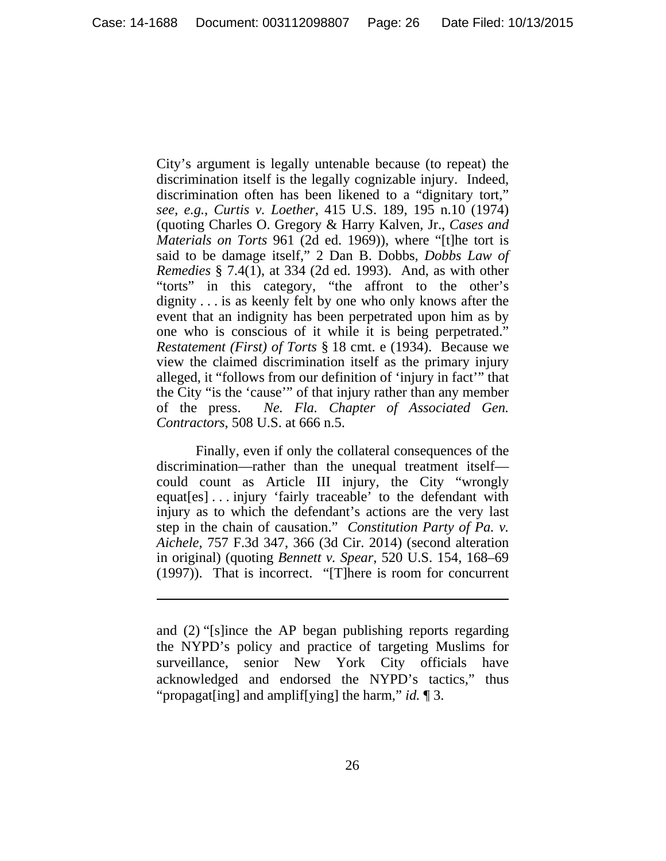City's argument is legally untenable because (to repeat) the discrimination itself is the legally cognizable injury. Indeed, discrimination often has been likened to a "dignitary tort," *see, e.g.*, *Curtis v. Loether*, 415 U.S. 189, 195 n.10 (1974) (quoting Charles O. Gregory & Harry Kalven, Jr., *Cases and Materials on Torts* 961 (2d ed. 1969)), where "[t]he tort is said to be damage itself," 2 Dan B. Dobbs, *Dobbs Law of Remedies* § 7.4(1), at 334 (2d ed. 1993). And, as with other "torts" in this category, "the affront to the other's dignity . . . is as keenly felt by one who only knows after the event that an indignity has been perpetrated upon him as by one who is conscious of it while it is being perpetrated." *Restatement (First) of Torts* § 18 cmt. e (1934). Because we view the claimed discrimination itself as the primary injury alleged, it "follows from our definition of 'injury in fact'" that the City "is the 'cause'" of that injury rather than any member of the press. *Ne. Fla. Chapter of Associated Gen. Contractors*, 508 U.S. at 666 n.5.

Finally, even if only the collateral consequences of the discrimination—rather than the unequal treatment itself could count as Article III injury, the City "wrongly equat[es] . . . injury 'fairly traceable' to the defendant with injury as to which the defendant's actions are the very last step in the chain of causation." *Constitution Party of Pa. v. Aichele*, 757 F.3d 347, 366 (3d Cir. 2014) (second alteration in original) (quoting *Bennett v. Spear*, 520 U.S. 154, 168–69 (1997)). That is incorrect. "[T]here is room for concurrent

 $\overline{a}$ 

and (2) "[s]ince the AP began publishing reports regarding the NYPD's policy and practice of targeting Muslims for surveillance, senior New York City officials have acknowledged and endorsed the NYPD's tactics," thus "propagat[ing] and amplif[ying] the harm," *id.* ¶ 3.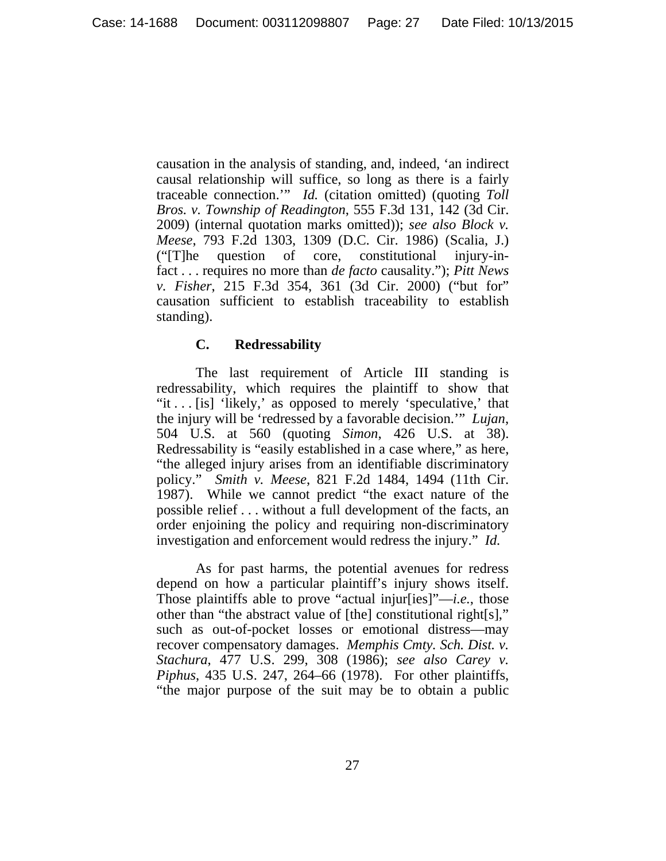causation in the analysis of standing, and, indeed, 'an indirect causal relationship will suffice, so long as there is a fairly traceable connection.'" *Id.* (citation omitted) (quoting *Toll Bros. v. Township of Readington*, 555 F.3d 131, 142 (3d Cir. 2009) (internal quotation marks omitted)); *see also Block v. Meese*, 793 F.2d 1303, 1309 (D.C. Cir. 1986) (Scalia, J.) ("[T]he question of core, constitutional injury-infact . . . requires no more than *de facto* causality."); *Pitt News v. Fisher*, 215 F.3d 354, 361 (3d Cir. 2000) ("but for" causation sufficient to establish traceability to establish standing).

# **C. Redressability**

The last requirement of Article III standing is redressability, which requires the plaintiff to show that "it . . . [is] 'likely,' as opposed to merely 'speculative,' that the injury will be 'redressed by a favorable decision.'" *Lujan*, 504 U.S. at 560 (quoting *Simon*, 426 U.S. at 38). Redressability is "easily established in a case where," as here, "the alleged injury arises from an identifiable discriminatory policy." *Smith v. Meese*, 821 F.2d 1484, 1494 (11th Cir. 1987). While we cannot predict "the exact nature of the possible relief . . . without a full development of the facts, an order enjoining the policy and requiring non-discriminatory investigation and enforcement would redress the injury." *Id.*

As for past harms, the potential avenues for redress depend on how a particular plaintiff's injury shows itself. Those plaintiffs able to prove "actual injur[ies]"—*i.e.*, those other than "the abstract value of [the] constitutional right[s]," such as out-of-pocket losses or emotional distress—may recover compensatory damages. *Memphis Cmty. Sch. Dist. v. Stachura*, 477 U.S. 299, 308 (1986); *see also Carey v. Piphus*, 435 U.S. 247, 264–66 (1978). For other plaintiffs, "the major purpose of the suit may be to obtain a public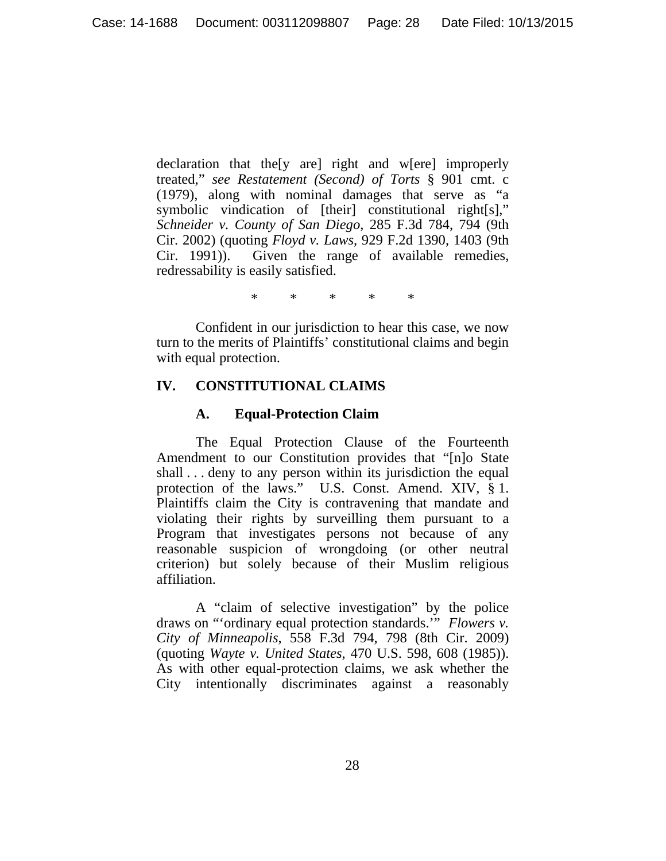declaration that the[y are] right and w[ere] improperly treated," *see Restatement (Second) of Torts* § 901 cmt. c (1979), along with nominal damages that serve as "a symbolic vindication of [their] constitutional right[s]," *Schneider v. County of San Diego*, 285 F.3d 784, 794 (9th Cir. 2002) (quoting *Floyd v. Laws*, 929 F.2d 1390, 1403 (9th Cir. 1991)). Given the range of available remedies, redressability is easily satisfied.

\* \* \* \* \*

Confident in our jurisdiction to hear this case, we now turn to the merits of Plaintiffs' constitutional claims and begin with equal protection.

# **IV. CONSTITUTIONAL CLAIMS**

# **A. Equal-Protection Claim**

The Equal Protection Clause of the Fourteenth Amendment to our Constitution provides that "[n]o State shall . . . deny to any person within its jurisdiction the equal protection of the laws." U.S. Const. Amend. XIV, § 1. Plaintiffs claim the City is contravening that mandate and violating their rights by surveilling them pursuant to a Program that investigates persons not because of any reasonable suspicion of wrongdoing (or other neutral criterion) but solely because of their Muslim religious affiliation.

A "claim of selective investigation" by the police draws on "'ordinary equal protection standards.'" *Flowers v. City of Minneapolis*, 558 F.3d 794, 798 (8th Cir. 2009) (quoting *Wayte v. United States*, 470 U.S. 598, 608 (1985)). As with other equal-protection claims, we ask whether the City intentionally discriminates against a reasonably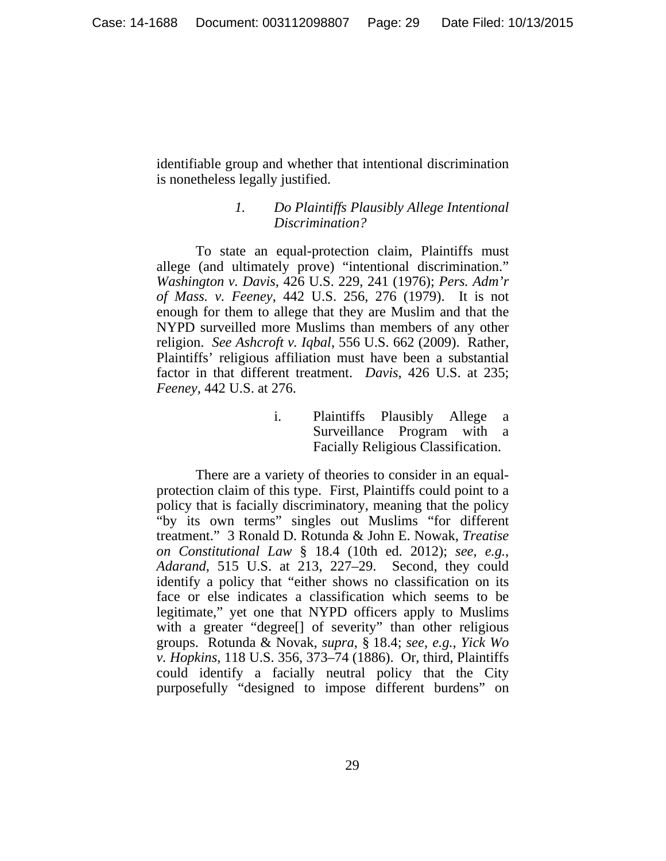identifiable group and whether that intentional discrimination is nonetheless legally justified.

### *1. Do Plaintiffs Plausibly Allege Intentional Discrimination?*

To state an equal-protection claim, Plaintiffs must allege (and ultimately prove) "intentional discrimination." *Washington v. Davis*, 426 U.S. 229, 241 (1976); *Pers. Adm'r of Mass. v. Feeney*, 442 U.S. 256, 276 (1979). It is not enough for them to allege that they are Muslim and that the NYPD surveilled more Muslims than members of any other religion. *See Ashcroft v. Iqbal*, 556 U.S. 662 (2009). Rather, Plaintiffs' religious affiliation must have been a substantial factor in that different treatment. *Davis*, 426 U.S. at 235; *Feeney*, 442 U.S. at 276.

> i. Plaintiffs Plausibly Allege a Surveillance Program with a Facially Religious Classification.

There are a variety of theories to consider in an equalprotection claim of this type. First, Plaintiffs could point to a policy that is facially discriminatory, meaning that the policy "by its own terms" singles out Muslims "for different treatment." 3 Ronald D. Rotunda & John E. Nowak, *Treatise on Constitutional Law* § 18.4 (10th ed. 2012); *see, e.g.*, *Adarand*, 515 U.S. at 213, 227–29. Second, they could identify a policy that "either shows no classification on its face or else indicates a classification which seems to be legitimate," yet one that NYPD officers apply to Muslims with a greater "degree<sup>[]</sup> of severity" than other religious groups. Rotunda & Novak, *supra*, § 18.4; *see, e.g.*, *Yick Wo v. Hopkins*, 118 U.S. 356, 373–74 (1886). Or, third, Plaintiffs could identify a facially neutral policy that the City purposefully "designed to impose different burdens" on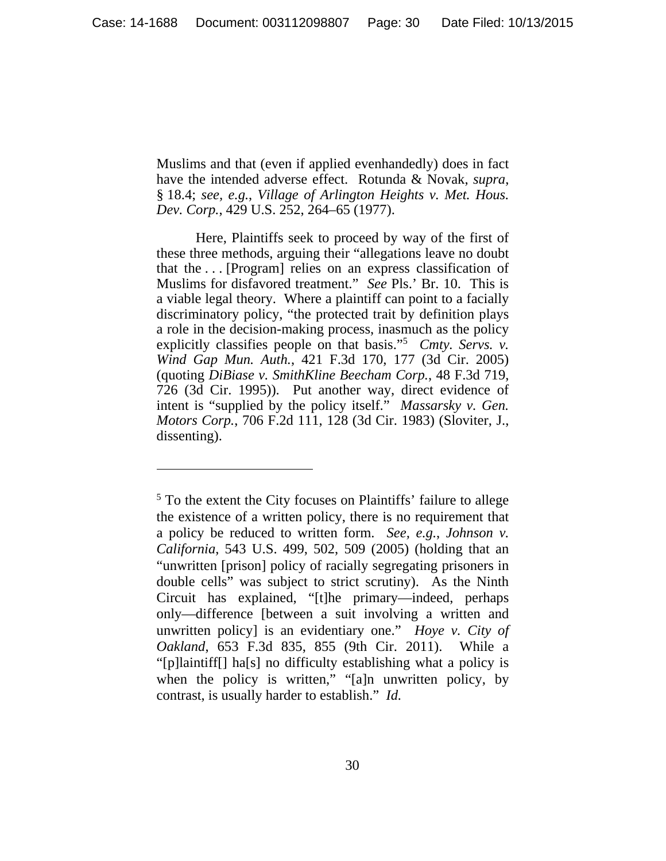Muslims and that (even if applied evenhandedly) does in fact have the intended adverse effect. Rotunda & Novak, *supra*, § 18.4; *see, e.g.*, *Village of Arlington Heights v. Met. Hous. Dev. Corp.*, 429 U.S. 252, 264–65 (1977).

Here, Plaintiffs seek to proceed by way of the first of these three methods, arguing their "allegations leave no doubt that the . . . [Program] relies on an express classification of Muslims for disfavored treatment." *See* Pls.' Br. 10. This is a viable legal theory. Where a plaintiff can point to a facially discriminatory policy, "the protected trait by definition plays a role in the decision-making process, inasmuch as the policy explicitly classifies people on that basis."5 *Cmty. Servs. v. Wind Gap Mun. Auth.*, 421 F.3d 170, 177 (3d Cir. 2005) (quoting *DiBiase v. SmithKline Beecham Corp.*, 48 F.3d 719, 726 (3d Cir. 1995)). Put another way, direct evidence of intent is "supplied by the policy itself." *Massarsky v. Gen. Motors Corp.*, 706 F.2d 111, 128 (3d Cir. 1983) (Sloviter, J., dissenting).

 $\overline{a}$ 

<sup>&</sup>lt;sup>5</sup> To the extent the City focuses on Plaintiffs' failure to allege the existence of a written policy, there is no requirement that a policy be reduced to written form. *See, e.g.*, *Johnson v. California*, 543 U.S. 499, 502, 509 (2005) (holding that an "unwritten [prison] policy of racially segregating prisoners in double cells" was subject to strict scrutiny). As the Ninth Circuit has explained, "[t]he primary—indeed, perhaps only—difference [between a suit involving a written and unwritten policy] is an evidentiary one." *Hoye v. City of Oakland*, 653 F.3d 835, 855 (9th Cir. 2011). While a "[p]laintiff[] ha[s] no difficulty establishing what a policy is when the policy is written," "[a]n unwritten policy, by contrast, is usually harder to establish." *Id.*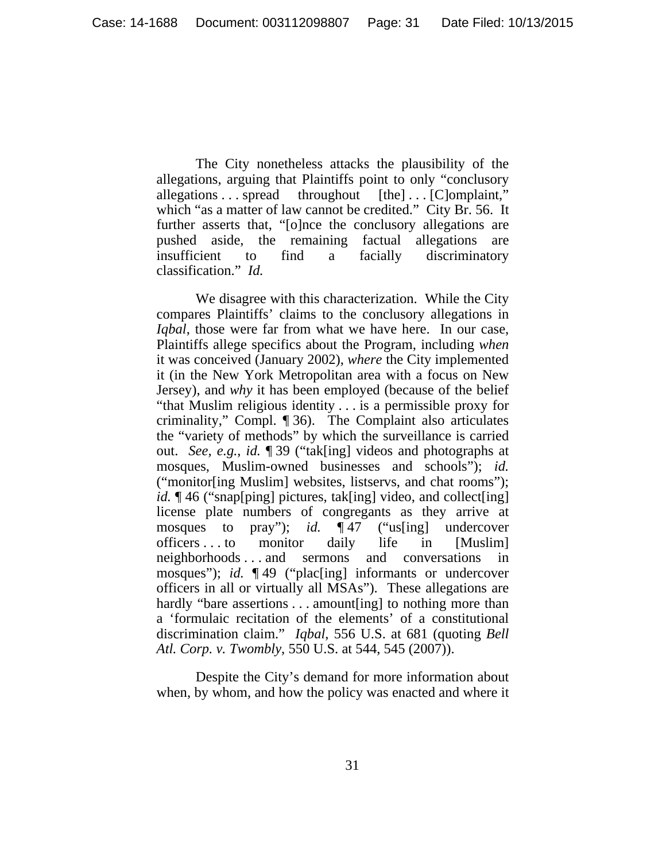The City nonetheless attacks the plausibility of the allegations, arguing that Plaintiffs point to only "conclusory allegations . . . spread throughout [the] . . . [C]omplaint," which "as a matter of law cannot be credited." City Br. 56. It further asserts that, "[o]nce the conclusory allegations are pushed aside, the remaining factual allegations are insufficient to find a facially discriminatory classification." *Id.*

We disagree with this characterization. While the City compares Plaintiffs' claims to the conclusory allegations in *Igbal*, those were far from what we have here. In our case, Plaintiffs allege specifics about the Program, including *when* it was conceived (January 2002), *where* the City implemented it (in the New York Metropolitan area with a focus on New Jersey), and *why* it has been employed (because of the belief "that Muslim religious identity . . . is a permissible proxy for criminality," Compl. ¶ 36). The Complaint also articulates the "variety of methods" by which the surveillance is carried out. *See, e.g.*, *id.* ¶ 39 ("tak[ing] videos and photographs at mosques, Muslim-owned businesses and schools"); *id.* ("monitor[ing Muslim] websites, listservs, and chat rooms"); *id.*  $\P$ 46 ("snap[ping] pictures, tak[ing] video, and collect[ing] license plate numbers of congregants as they arrive at mosques to pray"); *id.* ¶ 47 ("us[ing] undercover officers . . . to monitor daily life in [Muslim] neighborhoods . . . and sermons and conversations in mosques"); *id.* 149 ("plac[ing] informants or undercover officers in all or virtually all MSAs"). These allegations are hardly "bare assertions . . . amount [ing] to nothing more than a 'formulaic recitation of the elements' of a constitutional discrimination claim." *Iqbal*, 556 U.S. at 681 (quoting *Bell Atl. Corp. v. Twombly*, 550 U.S. at 544, 545 (2007)).

Despite the City's demand for more information about when, by whom, and how the policy was enacted and where it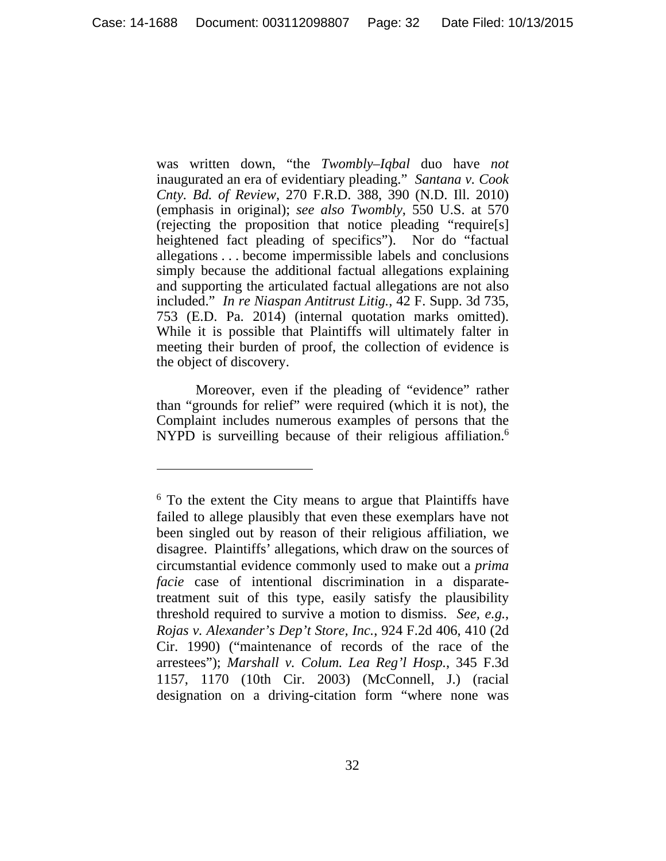was written down, "the *Twombly–Iqbal* duo have *not* inaugurated an era of evidentiary pleading." *Santana v. Cook Cnty. Bd. of Review*, 270 F.R.D. 388, 390 (N.D. Ill. 2010) (emphasis in original); *see also Twombly*, 550 U.S. at 570 (rejecting the proposition that notice pleading "require[s] heightened fact pleading of specifics"). Nor do "factual allegations . . . become impermissible labels and conclusions simply because the additional factual allegations explaining and supporting the articulated factual allegations are not also included." *In re Niaspan Antitrust Litig.*, 42 F. Supp. 3d 735, 753 (E.D. Pa. 2014) (internal quotation marks omitted). While it is possible that Plaintiffs will ultimately falter in meeting their burden of proof, the collection of evidence is the object of discovery.

Moreover, even if the pleading of "evidence" rather than "grounds for relief" were required (which it is not), the Complaint includes numerous examples of persons that the NYPD is surveilling because of their religious affiliation.<sup>6</sup>

 $\overline{a}$ 

<sup>&</sup>lt;sup>6</sup> To the extent the City means to argue that Plaintiffs have failed to allege plausibly that even these exemplars have not been singled out by reason of their religious affiliation, we disagree. Plaintiffs' allegations, which draw on the sources of circumstantial evidence commonly used to make out a *prima facie* case of intentional discrimination in a disparatetreatment suit of this type, easily satisfy the plausibility threshold required to survive a motion to dismiss. *See, e.g.*, *Rojas v. Alexander's Dep't Store, Inc.*, 924 F.2d 406, 410 (2d Cir. 1990) ("maintenance of records of the race of the arrestees"); *Marshall v. Colum. Lea Reg'l Hosp.*, 345 F.3d 1157, 1170 (10th Cir. 2003) (McConnell, J.) (racial designation on a driving-citation form "where none was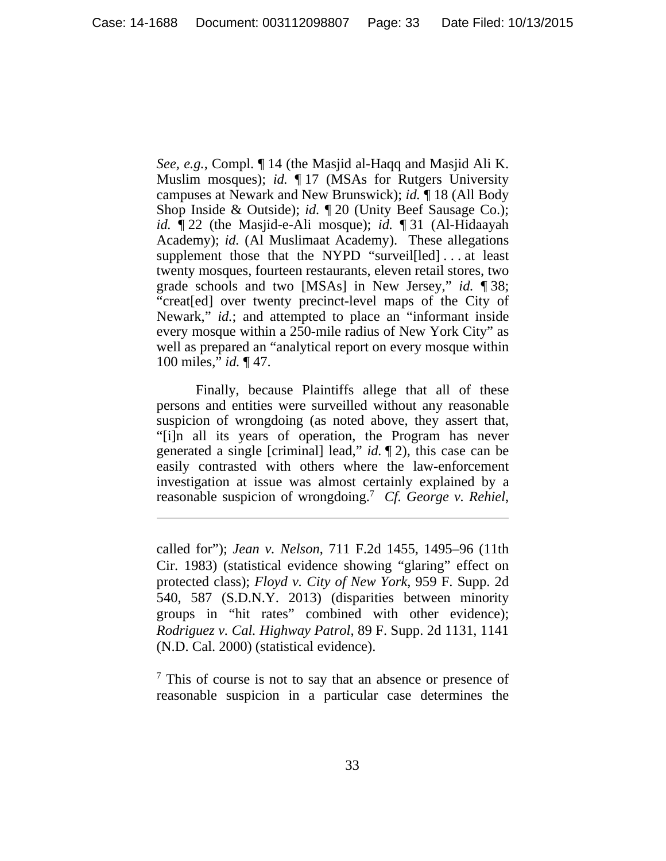*See, e.g.*, Compl. ¶ 14 (the Masjid al-Haqq and Masjid Ali K. Muslim mosques); *id.* ¶ 17 (MSAs for Rutgers University campuses at Newark and New Brunswick); *id.* ¶ 18 (All Body Shop Inside & Outside); *id.*  $\P$  20 (Unity Beef Sausage Co.); *id.* ¶ 22 (the Masjid-e-Ali mosque); *id.* ¶ 31 (Al-Hidaayah Academy); *id.* (Al Muslimaat Academy). These allegations supplement those that the NYPD "surveil[led] ... at least twenty mosques, fourteen restaurants, eleven retail stores, two grade schools and two [MSAs] in New Jersey," *id.* ¶ 38; "creat[ed] over twenty precinct-level maps of the City of Newark," *id.*; and attempted to place an "informant inside every mosque within a 250-mile radius of New York City" as well as prepared an "analytical report on every mosque within 100 miles," *id.* ¶ 47.

Finally, because Plaintiffs allege that all of these persons and entities were surveilled without any reasonable suspicion of wrongdoing (as noted above, they assert that, "[i]n all its years of operation, the Program has never generated a single [criminal] lead," *id.* ¶ 2), this case can be easily contrasted with others where the law-enforcement investigation at issue was almost certainly explained by a reasonable suspicion of wrongdoing.7 *Cf. George v. Rehiel*,

called for"); *Jean v. Nelson*, 711 F.2d 1455, 1495–96 (11th Cir. 1983) (statistical evidence showing "glaring" effect on protected class); *Floyd v. City of New York*, 959 F. Supp. 2d 540, 587 (S.D.N.Y. 2013) (disparities between minority groups in "hit rates" combined with other evidence); *Rodriguez v. Cal. Highway Patrol*, 89 F. Supp. 2d 1131, 1141 (N.D. Cal. 2000) (statistical evidence).

<sup>7</sup> This of course is not to say that an absence or presence of reasonable suspicion in a particular case determines the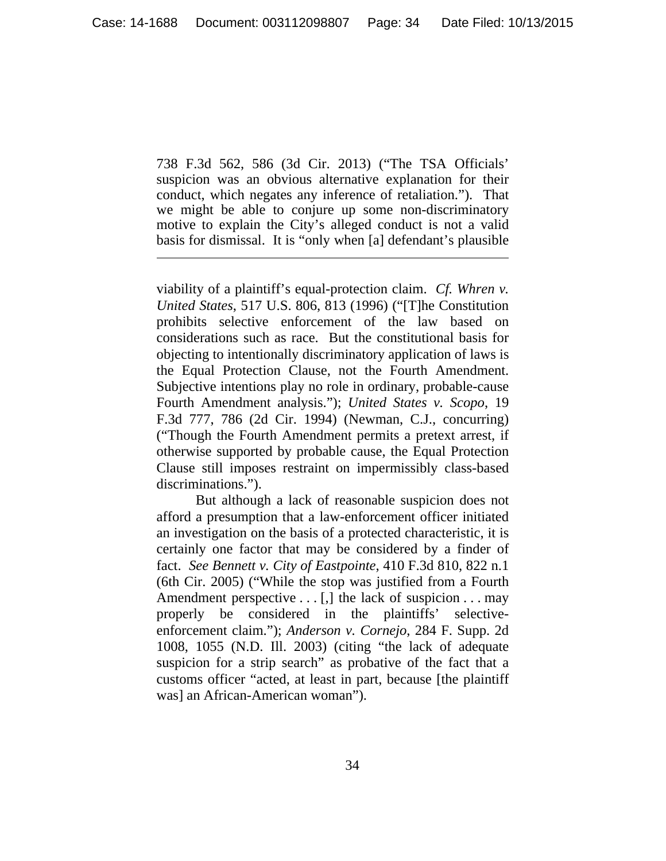738 F.3d 562, 586 (3d Cir. 2013) ("The TSA Officials' suspicion was an obvious alternative explanation for their conduct, which negates any inference of retaliation."). That we might be able to conjure up some non-discriminatory motive to explain the City's alleged conduct is not a valid basis for dismissal. It is "only when [a] defendant's plausible

 $\overline{a}$ 

viability of a plaintiff's equal-protection claim. *Cf. Whren v. United States*, 517 U.S. 806, 813 (1996) ("[T]he Constitution prohibits selective enforcement of the law based on considerations such as race. But the constitutional basis for objecting to intentionally discriminatory application of laws is the Equal Protection Clause, not the Fourth Amendment. Subjective intentions play no role in ordinary, probable-cause Fourth Amendment analysis."); *United States v. Scopo*, 19 F.3d 777, 786 (2d Cir. 1994) (Newman, C.J., concurring) ("Though the Fourth Amendment permits a pretext arrest, if otherwise supported by probable cause, the Equal Protection Clause still imposes restraint on impermissibly class-based discriminations.").

But although a lack of reasonable suspicion does not afford a presumption that a law-enforcement officer initiated an investigation on the basis of a protected characteristic, it is certainly one factor that may be considered by a finder of fact. *See Bennett v. City of Eastpointe*, 410 F.3d 810, 822 n.1 (6th Cir. 2005) ("While the stop was justified from a Fourth Amendment perspective  $\dots$  [,] the lack of suspicion  $\dots$  may properly be considered in the plaintiffs' selectiveenforcement claim."); *Anderson v. Cornejo*, 284 F. Supp. 2d 1008, 1055 (N.D. Ill. 2003) (citing "the lack of adequate suspicion for a strip search" as probative of the fact that a customs officer "acted, at least in part, because [the plaintiff was] an African-American woman").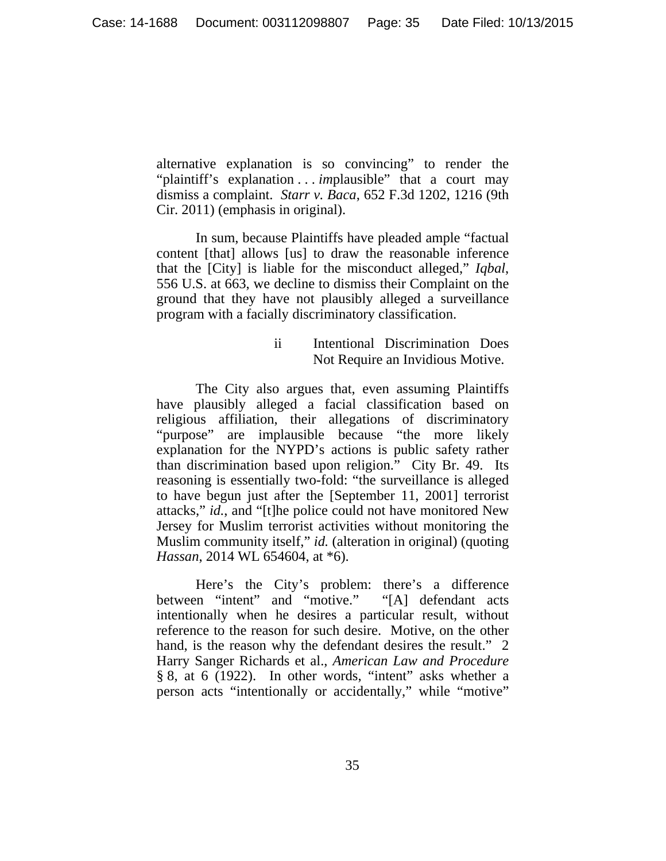alternative explanation is so convincing" to render the "plaintiff's explanation . . . *im*plausible" that a court may dismiss a complaint. *Starr v. Baca*, 652 F.3d 1202, 1216 (9th Cir. 2011) (emphasis in original).

In sum, because Plaintiffs have pleaded ample "factual content [that] allows [us] to draw the reasonable inference that the [City] is liable for the misconduct alleged," *Iqbal*, 556 U.S. at 663, we decline to dismiss their Complaint on the ground that they have not plausibly alleged a surveillance program with a facially discriminatory classification.

> ii Intentional Discrimination Does Not Require an Invidious Motive.

The City also argues that, even assuming Plaintiffs have plausibly alleged a facial classification based on religious affiliation, their allegations of discriminatory "purpose" are implausible because "the more likely explanation for the NYPD's actions is public safety rather than discrimination based upon religion." City Br. 49. Its reasoning is essentially two-fold: "the surveillance is alleged to have begun just after the [September 11, 2001] terrorist attacks," *id.*, and "[t]he police could not have monitored New Jersey for Muslim terrorist activities without monitoring the Muslim community itself," *id.* (alteration in original) (quoting *Hassan*, 2014 WL 654604, at \*6).

Here's the City's problem: there's a difference between "intent" and "motive." "[A] defendant acts intentionally when he desires a particular result, without reference to the reason for such desire. Motive, on the other hand, is the reason why the defendant desires the result." 2 Harry Sanger Richards et al., *American Law and Procedure*  § 8, at 6 (1922). In other words, "intent" asks whether a person acts "intentionally or accidentally," while "motive"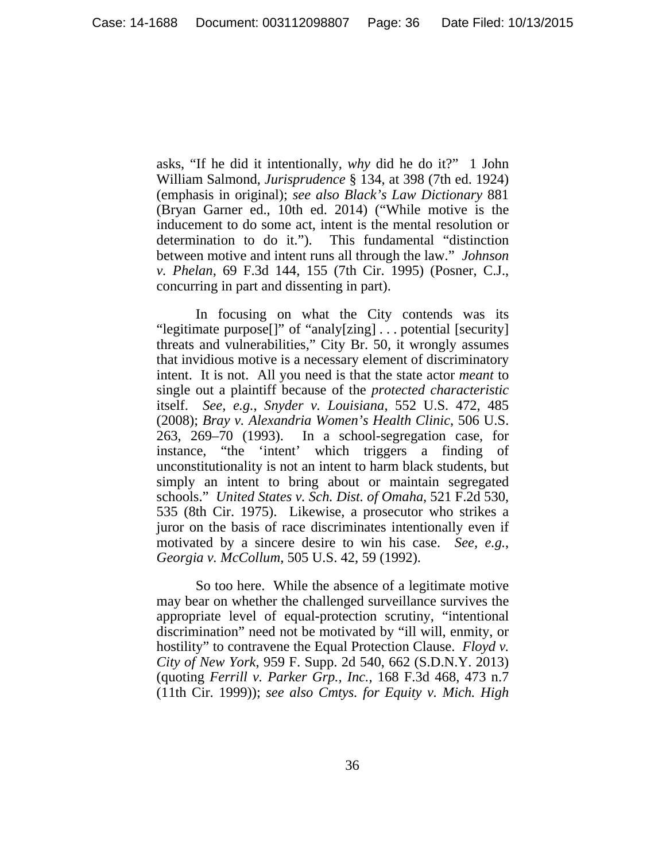asks, "If he did it intentionally, *why* did he do it?" 1 John William Salmond, *Jurisprudence* § 134, at 398 (7th ed. 1924) (emphasis in original); *see also Black's Law Dictionary* 881 (Bryan Garner ed., 10th ed. 2014) ("While motive is the inducement to do some act, intent is the mental resolution or determination to do it."). This fundamental "distinction between motive and intent runs all through the law." *Johnson v. Phelan*, 69 F.3d 144, 155 (7th Cir. 1995) (Posner, C.J., concurring in part and dissenting in part).

In focusing on what the City contends was its "legitimate purpose[]" of "analy[zing] . . . potential [security] threats and vulnerabilities," City Br. 50, it wrongly assumes that invidious motive is a necessary element of discriminatory intent. It is not. All you need is that the state actor *meant* to single out a plaintiff because of the *protected characteristic*  itself. *See, e.g.*, *Snyder v. Louisiana*, 552 U.S. 472, 485 (2008); *Bray v. Alexandria Women's Health Clinic*, 506 U.S. 263, 269–70 (1993). In a school-segregation case, for instance, "the 'intent' which triggers a finding of unconstitutionality is not an intent to harm black students, but simply an intent to bring about or maintain segregated schools." *United States v. Sch. Dist. of Omaha*, 521 F.2d 530, 535 (8th Cir. 1975). Likewise, a prosecutor who strikes a juror on the basis of race discriminates intentionally even if motivated by a sincere desire to win his case. *See, e.g.*, *Georgia v. McCollum*, 505 U.S. 42, 59 (1992).

So too here. While the absence of a legitimate motive may bear on whether the challenged surveillance survives the appropriate level of equal-protection scrutiny, "intentional discrimination" need not be motivated by "ill will, enmity, or hostility" to contravene the Equal Protection Clause. *Floyd v. City of New York*, 959 F. Supp. 2d 540, 662 (S.D.N.Y. 2013) (quoting *Ferrill v. Parker Grp., Inc.*, 168 F.3d 468, 473 n.7 (11th Cir. 1999)); *see also Cmtys. for Equity v. Mich. High*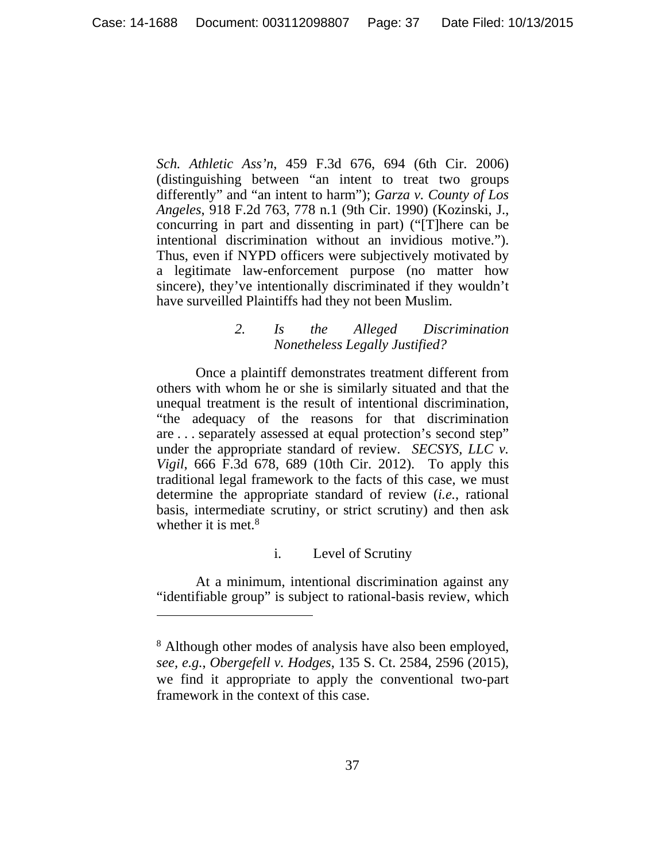*Sch. Athletic Ass'n*, 459 F.3d 676, 694 (6th Cir. 2006) (distinguishing between "an intent to treat two groups differently" and "an intent to harm"); *Garza v. County of Los Angeles*, 918 F.2d 763, 778 n.1 (9th Cir. 1990) (Kozinski, J., concurring in part and dissenting in part) ("[T]here can be intentional discrimination without an invidious motive."). Thus, even if NYPD officers were subjectively motivated by a legitimate law-enforcement purpose (no matter how sincere), they've intentionally discriminated if they wouldn't have surveilled Plaintiffs had they not been Muslim.

#### *2. Is the Alleged Discrimination Nonetheless Legally Justified?*

Once a plaintiff demonstrates treatment different from others with whom he or she is similarly situated and that the unequal treatment is the result of intentional discrimination, "the adequacy of the reasons for that discrimination are . . . separately assessed at equal protection's second step" under the appropriate standard of review. *SECSYS, LLC v. Vigil*, 666 F.3d 678, 689 (10th Cir. 2012). To apply this traditional legal framework to the facts of this case, we must determine the appropriate standard of review (*i.e.*, rational basis, intermediate scrutiny, or strict scrutiny) and then ask whether it is met. $8$ 

# i. Level of Scrutiny

At a minimum, intentional discrimination against any "identifiable group" is subject to rational-basis review, which

 $\overline{a}$ 

<sup>&</sup>lt;sup>8</sup> Although other modes of analysis have also been employed, *see, e.g.*, *Obergefell v. Hodges*, 135 S. Ct. 2584, 2596 (2015), we find it appropriate to apply the conventional two-part framework in the context of this case.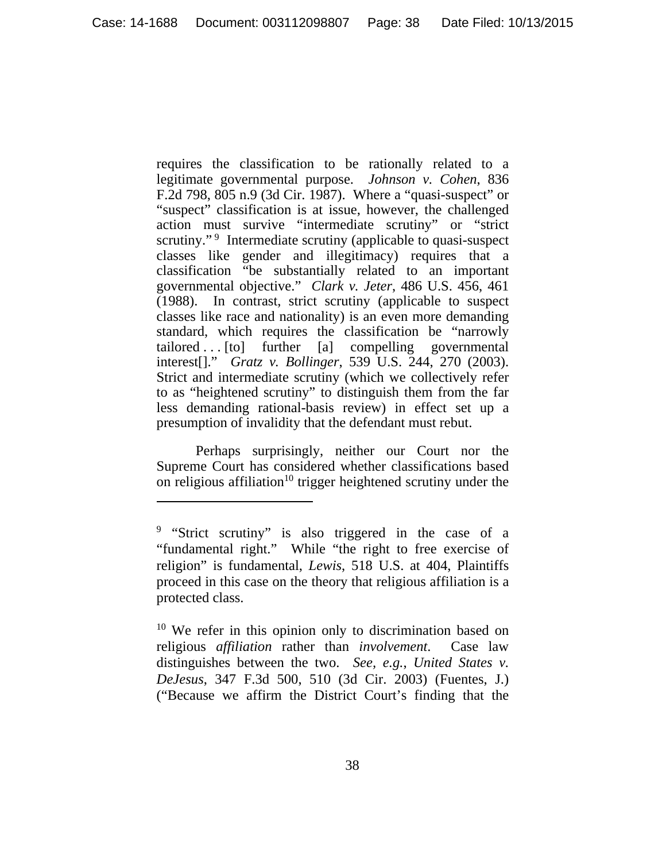requires the classification to be rationally related to a legitimate governmental purpose. *Johnson v. Cohen*, 836 F.2d 798, 805 n.9 (3d Cir. 1987). Where a "quasi-suspect" or "suspect" classification is at issue, however, the challenged action must survive "intermediate scrutiny" or "strict scrutiny."<sup>9</sup> Intermediate scrutiny (applicable to quasi-suspect classes like gender and illegitimacy) requires that a classification "be substantially related to an important governmental objective." *Clark v. Jeter*, 486 U.S. 456, 461 (1988). In contrast, strict scrutiny (applicable to suspect classes like race and nationality) is an even more demanding standard, which requires the classification be "narrowly  $tailored$ ... $[to]$  further  $[a]$  compelling governmental interest[]." *Gratz v. Bollinger*, 539 U.S. 244, 270 (2003). Strict and intermediate scrutiny (which we collectively refer to as "heightened scrutiny" to distinguish them from the far less demanding rational-basis review) in effect set up a presumption of invalidity that the defendant must rebut.

Perhaps surprisingly, neither our Court nor the Supreme Court has considered whether classifications based on religious affiliation<sup>10</sup> trigger heightened scrutiny under the

 $\overline{a}$ 

<sup>&</sup>lt;sup>9</sup> "Strict scrutiny" is also triggered in the case of a "fundamental right." While "the right to free exercise of religion" is fundamental, *Lewis*, 518 U.S. at 404, Plaintiffs proceed in this case on the theory that religious affiliation is a protected class.

<sup>10</sup> We refer in this opinion only to discrimination based on religious *affiliation* rather than *involvement*. Case law distinguishes between the two. *See, e.g.*, *United States v. DeJesus*, 347 F.3d 500, 510 (3d Cir. 2003) (Fuentes, J.) ("Because we affirm the District Court's finding that the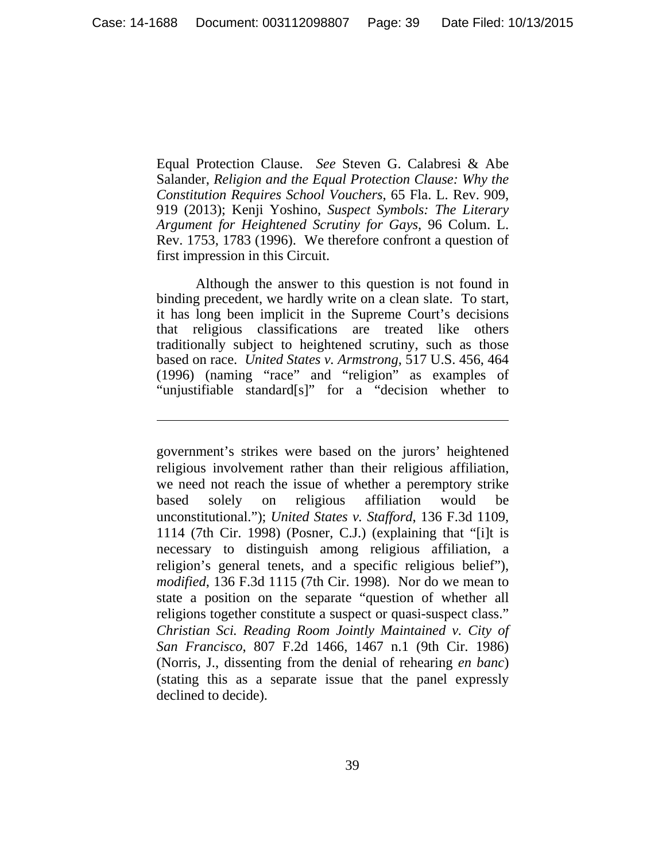Equal Protection Clause. *See* Steven G. Calabresi & Abe Salander, *Religion and the Equal Protection Clause: Why the Constitution Requires School Vouchers*, 65 Fla. L. Rev. 909, 919 (2013); Kenji Yoshino, *Suspect Symbols: The Literary Argument for Heightened Scrutiny for Gays*, 96 Colum. L. Rev. 1753, 1783 (1996). We therefore confront a question of first impression in this Circuit.

Although the answer to this question is not found in binding precedent, we hardly write on a clean slate. To start, it has long been implicit in the Supreme Court's decisions that religious classifications are treated like others traditionally subject to heightened scrutiny, such as those based on race. *United States v. Armstrong*, 517 U.S. 456, 464 (1996) (naming "race" and "religion" as examples of "unjustifiable standard[s]" for a "decision whether to

government's strikes were based on the jurors' heightened religious involvement rather than their religious affiliation, we need not reach the issue of whether a peremptory strike based solely on religious affiliation would be unconstitutional."); *United States v. Stafford*, 136 F.3d 1109, 1114 (7th Cir. 1998) (Posner, C.J.) (explaining that "[i]t is necessary to distinguish among religious affiliation, a religion's general tenets, and a specific religious belief"), *modified*, 136 F.3d 1115 (7th Cir. 1998). Nor do we mean to state a position on the separate "question of whether all religions together constitute a suspect or quasi-suspect class." *Christian Sci. Reading Room Jointly Maintained v. City of San Francisco*, 807 F.2d 1466, 1467 n.1 (9th Cir. 1986) (Norris, J., dissenting from the denial of rehearing *en banc*) (stating this as a separate issue that the panel expressly declined to decide).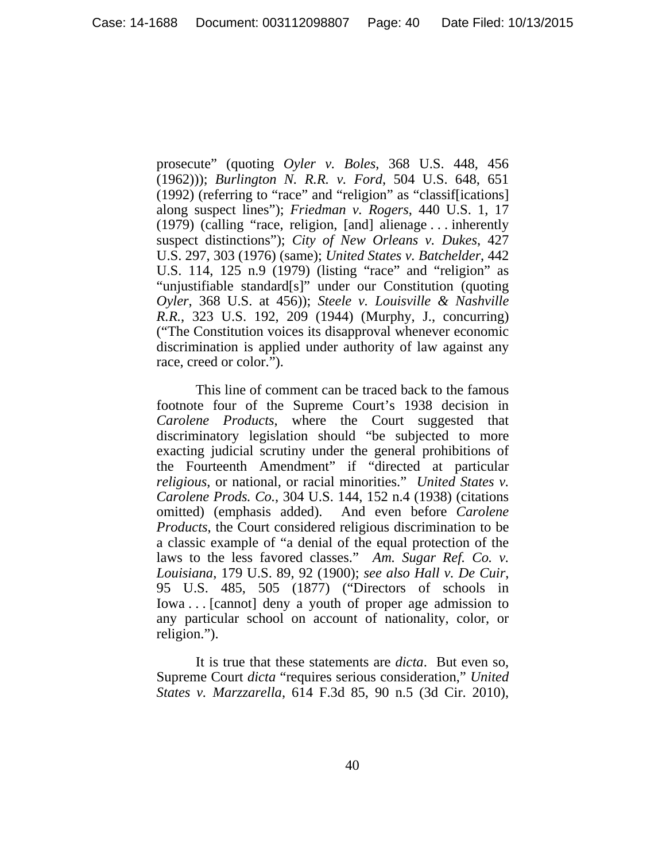prosecute" (quoting *Oyler v. Boles*, 368 U.S. 448, 456 (1962))); *Burlington N. R.R. v. Ford*, 504 U.S. 648, 651 (1992) (referring to "race" and "religion" as "classif[ications] along suspect lines"); *Friedman v. Rogers*, 440 U.S. 1, 17 (1979) (calling "race, religion, [and] alienage . . . inherently suspect distinctions"); *City of New Orleans v. Dukes*, 427 U.S. 297, 303 (1976) (same); *United States v. Batchelder*, 442 U.S. 114, 125 n.9 (1979) (listing "race" and "religion" as "unjustifiable standard[s]" under our Constitution (quoting *Oyler*, 368 U.S. at 456)); *Steele v. Louisville & Nashville R.R.*, 323 U.S. 192, 209 (1944) (Murphy, J., concurring) ("The Constitution voices its disapproval whenever economic discrimination is applied under authority of law against any race, creed or color.").

This line of comment can be traced back to the famous footnote four of the Supreme Court's 1938 decision in *Carolene Products*, where the Court suggested that discriminatory legislation should "be subjected to more exacting judicial scrutiny under the general prohibitions of the Fourteenth Amendment" if "directed at particular *religious*, or national, or racial minorities." *United States v. Carolene Prods. Co.*, 304 U.S. 144, 152 n.4 (1938) (citations omitted) (emphasis added). And even before *Carolene Products*, the Court considered religious discrimination to be a classic example of "a denial of the equal protection of the laws to the less favored classes." *Am. Sugar Ref. Co. v. Louisiana*, 179 U.S. 89, 92 (1900); *see also Hall v. De Cuir*, 95 U.S. 485, 505 (1877) ("Directors of schools in Iowa . . . [cannot] deny a youth of proper age admission to any particular school on account of nationality, color, or religion.").

It is true that these statements are *dicta*. But even so, Supreme Court *dicta* "requires serious consideration," *United States v. Marzzarella*, 614 F.3d 85, 90 n.5 (3d Cir. 2010),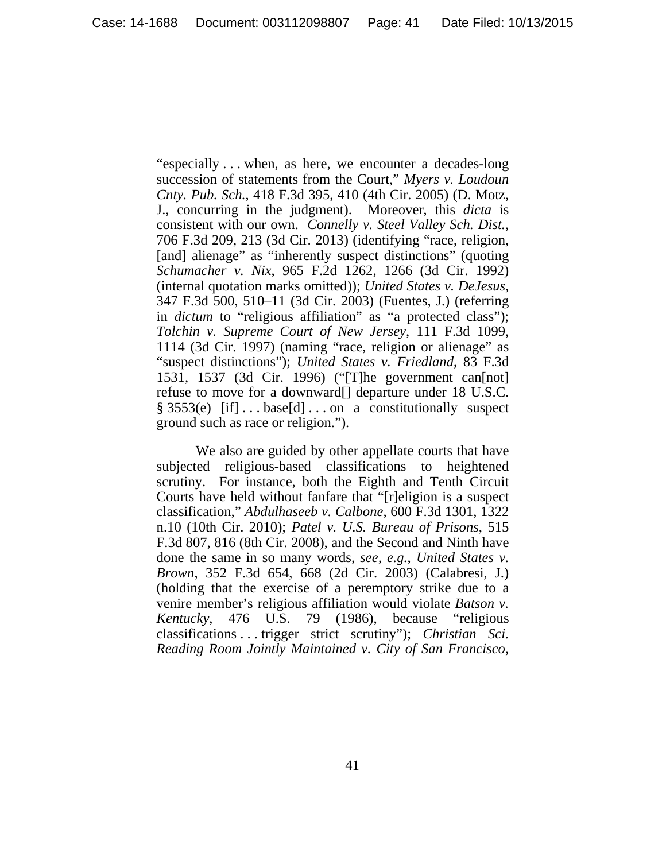"especially . . . when, as here, we encounter a decades-long succession of statements from the Court," *Myers v. Loudoun Cnty. Pub. Sch.*, 418 F.3d 395, 410 (4th Cir. 2005) (D. Motz, J., concurring in the judgment). Moreover, this *dicta* is consistent with our own. *Connelly v. Steel Valley Sch. Dist.*, 706 F.3d 209, 213 (3d Cir. 2013) (identifying "race, religion, [and] alienage" as "inherently suspect distinctions" (quoting *Schumacher v. Nix*, 965 F.2d 1262, 1266 (3d Cir. 1992) (internal quotation marks omitted)); *United States v. DeJesus*, 347 F.3d 500, 510–11 (3d Cir. 2003) (Fuentes, J.) (referring in *dictum* to "religious affiliation" as "a protected class"); *Tolchin v. Supreme Court of New Jersey*, 111 F.3d 1099, 1114 (3d Cir. 1997) (naming "race, religion or alienage" as "suspect distinctions"); *United States v. Friedland*, 83 F.3d 1531, 1537 (3d Cir. 1996) ("[T]he government can[not] refuse to move for a downward[] departure under 18 U.S.C. § 3553(e) [if] . . . base[d] . . . on a constitutionally suspect ground such as race or religion.").

We also are guided by other appellate courts that have subjected religious-based classifications to heightened scrutiny. For instance, both the Eighth and Tenth Circuit Courts have held without fanfare that "[r]eligion is a suspect classification," *Abdulhaseeb v. Calbone*, 600 F.3d 1301, 1322 n.10 (10th Cir. 2010); *Patel v. U.S. Bureau of Prisons*, 515 F.3d 807, 816 (8th Cir. 2008), and the Second and Ninth have done the same in so many words, *see, e.g.*, *United States v. Brown*, 352 F.3d 654, 668 (2d Cir. 2003) (Calabresi, J.) (holding that the exercise of a peremptory strike due to a venire member's religious affiliation would violate *Batson v. Kentucky*, 476 U.S. 79 (1986), because "religious classifications . . . trigger strict scrutiny"); *Christian Sci. Reading Room Jointly Maintained v. City of San Francisco*,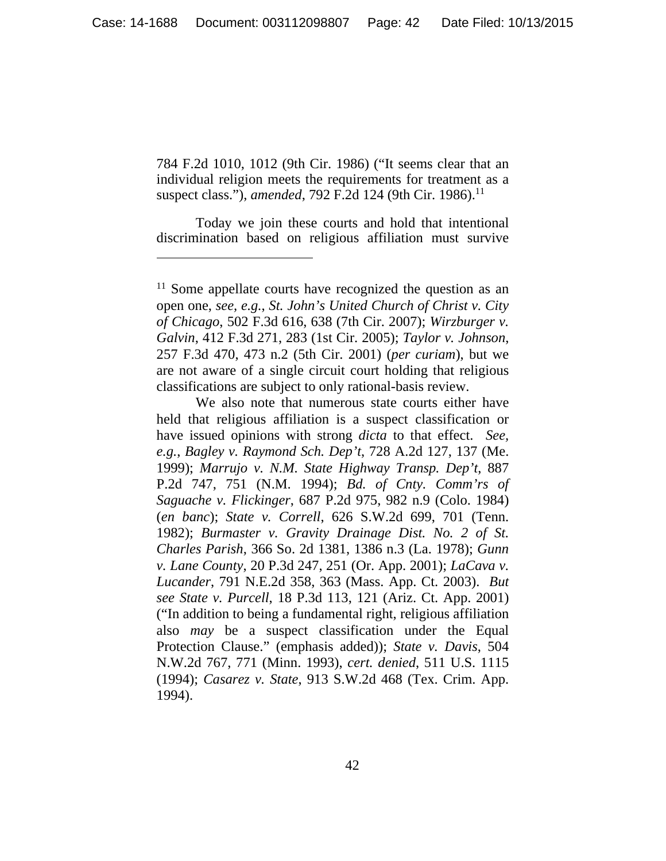784 F.2d 1010, 1012 (9th Cir. 1986) ("It seems clear that an individual religion meets the requirements for treatment as a suspect class."), *amended*, 792 F.2d 124 (9th Cir. 1986).<sup>11</sup>

 Today we join these courts and hold that intentional discrimination based on religious affiliation must survive

 $\overline{a}$ 

We also note that numerous state courts either have held that religious affiliation is a suspect classification or have issued opinions with strong *dicta* to that effect. *See, e.g.*, *Bagley v. Raymond Sch. Dep't*, 728 A.2d 127, 137 (Me. 1999); *Marrujo v. N.M. State Highway Transp. Dep't*, 887 P.2d 747, 751 (N.M. 1994); *Bd. of Cnty. Comm'rs of Saguache v. Flickinger*, 687 P.2d 975, 982 n.9 (Colo. 1984) (*en banc*); *State v. Correll*, 626 S.W.2d 699, 701 (Tenn. 1982); *Burmaster v. Gravity Drainage Dist. No. 2 of St. Charles Parish*, 366 So. 2d 1381, 1386 n.3 (La. 1978); *Gunn v. Lane County*, 20 P.3d 247, 251 (Or. App. 2001); *LaCava v. Lucander*, 791 N.E.2d 358, 363 (Mass. App. Ct. 2003). *But see State v. Purcell*, 18 P.3d 113, 121 (Ariz. Ct. App. 2001) ("In addition to being a fundamental right, religious affiliation also *may* be a suspect classification under the Equal Protection Clause." (emphasis added)); *State v. Davis*, 504 N.W.2d 767, 771 (Minn. 1993), *cert. denied*, 511 U.S. 1115 (1994); *Casarez v. State*, 913 S.W.2d 468 (Tex. Crim. App. 1994).

<sup>&</sup>lt;sup>11</sup> Some appellate courts have recognized the question as an open one, *see, e.g.*, *St. John's United Church of Christ v. City of Chicago*, 502 F.3d 616, 638 (7th Cir. 2007); *Wirzburger v. Galvin*, 412 F.3d 271, 283 (1st Cir. 2005); *Taylor v. Johnson*, 257 F.3d 470, 473 n.2 (5th Cir. 2001) (*per curiam*), but we are not aware of a single circuit court holding that religious classifications are subject to only rational-basis review.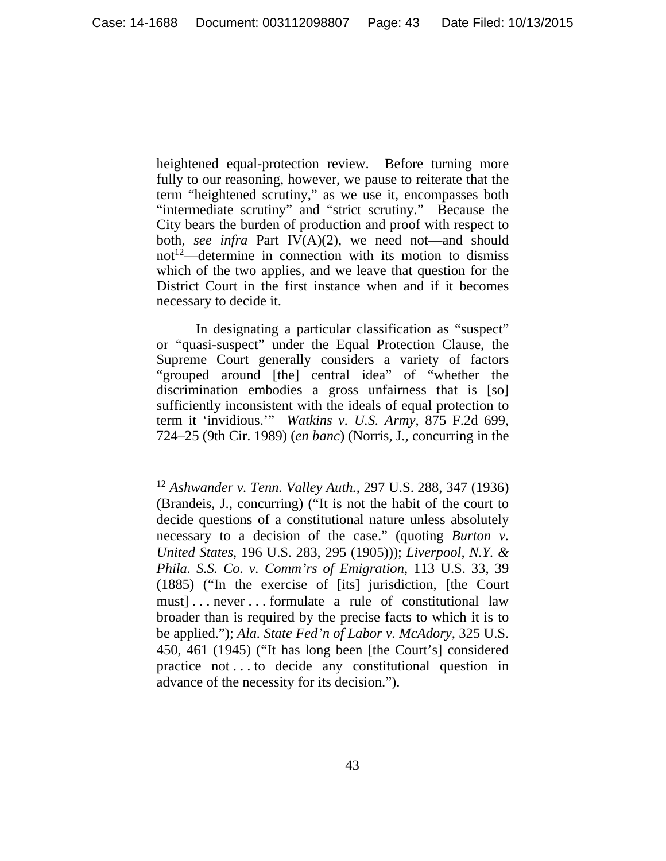heightened equal-protection review. Before turning more fully to our reasoning, however, we pause to reiterate that the term "heightened scrutiny," as we use it, encompasses both "intermediate scrutiny" and "strict scrutiny." Because the City bears the burden of production and proof with respect to both, *see infra* Part IV(A)(2), we need not—and should not<sup>12</sup>—determine in connection with its motion to dismiss which of the two applies, and we leave that question for the District Court in the first instance when and if it becomes necessary to decide it.

 In designating a particular classification as "suspect" or "quasi-suspect" under the Equal Protection Clause, the Supreme Court generally considers a variety of factors "grouped around [the] central idea" of "whether the discrimination embodies a gross unfairness that is [so] sufficiently inconsistent with the ideals of equal protection to term it 'invidious.'" *Watkins v. U.S. Army*, 875 F.2d 699, 724–25 (9th Cir. 1989) (*en banc*) (Norris, J., concurring in the

 $\overline{a}$ 

<sup>12</sup> *Ashwander v. Tenn. Valley Auth.*, 297 U.S. 288, 347 (1936) (Brandeis, J., concurring) ("It is not the habit of the court to decide questions of a constitutional nature unless absolutely necessary to a decision of the case." (quoting *Burton v. United States*, 196 U.S. 283, 295 (1905))); *Liverpool, N.Y. & Phila. S.S. Co. v. Comm'rs of Emigration*, 113 U.S. 33, 39 (1885) ("In the exercise of [its] jurisdiction, [the Court must] . . . never . . . formulate a rule of constitutional law broader than is required by the precise facts to which it is to be applied."); *Ala. State Fed'n of Labor v. McAdory*, 325 U.S. 450, 461 (1945) ("It has long been [the Court's] considered practice not . . . to decide any constitutional question in advance of the necessity for its decision.").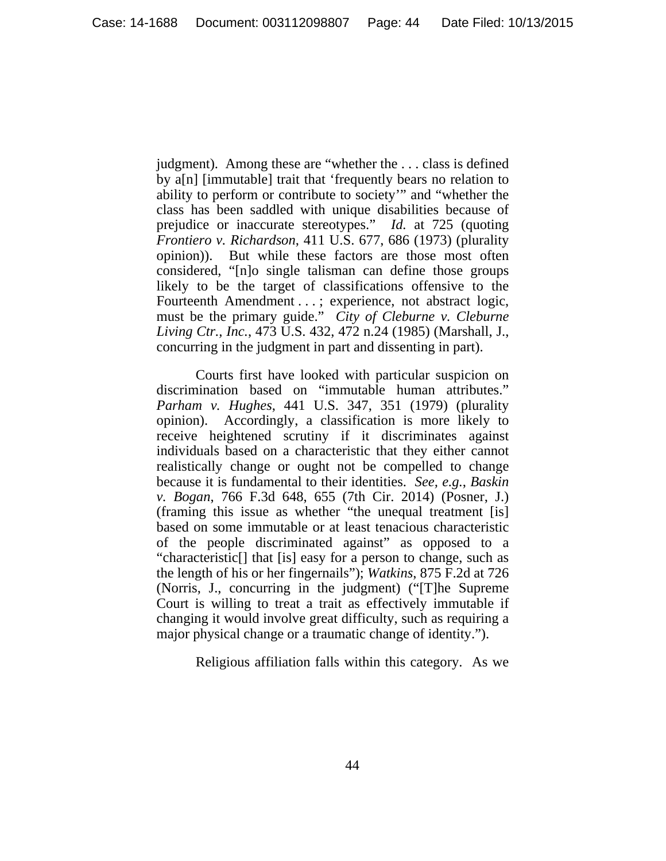judgment). Among these are "whether the . . . class is defined by a[n] [immutable] trait that 'frequently bears no relation to ability to perform or contribute to society'" and "whether the class has been saddled with unique disabilities because of prejudice or inaccurate stereotypes." *Id.* at 725 (quoting *Frontiero v. Richardson*, 411 U.S. 677, 686 (1973) (plurality opinion)). But while these factors are those most often considered, "[n]o single talisman can define those groups likely to be the target of classifications offensive to the Fourteenth Amendment . . .; experience, not abstract logic, must be the primary guide." *City of Cleburne v. Cleburne Living Ctr., Inc.*, 473 U.S. 432, 472 n.24 (1985) (Marshall, J., concurring in the judgment in part and dissenting in part).

Courts first have looked with particular suspicion on discrimination based on "immutable human attributes." *Parham v. Hughes*, 441 U.S. 347, 351 (1979) (plurality opinion). Accordingly, a classification is more likely to receive heightened scrutiny if it discriminates against individuals based on a characteristic that they either cannot realistically change or ought not be compelled to change because it is fundamental to their identities. *See, e.g.*, *Baskin v. Bogan*, 766 F.3d 648, 655 (7th Cir. 2014) (Posner, J.) (framing this issue as whether "the unequal treatment [is] based on some immutable or at least tenacious characteristic of the people discriminated against" as opposed to a "characteristic[] that [is] easy for a person to change, such as the length of his or her fingernails"); *Watkins*, 875 F.2d at 726 (Norris, J., concurring in the judgment) ("[T]he Supreme Court is willing to treat a trait as effectively immutable if changing it would involve great difficulty, such as requiring a major physical change or a traumatic change of identity.").

Religious affiliation falls within this category. As we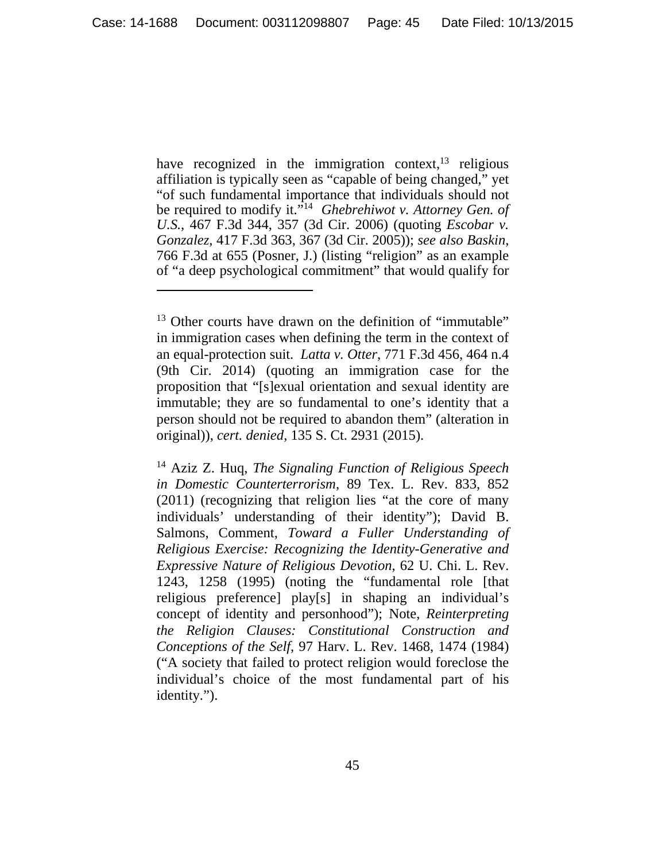have recognized in the immigration context, $13$  religious affiliation is typically seen as "capable of being changed," yet "of such fundamental importance that individuals should not be required to modify it.<sup> $\dot{v}$ 14 *Ghebrehiwot v. Attorney Gen. of*</sup> *U.S.*, 467 F.3d 344, 357 (3d Cir. 2006) (quoting *Escobar v. Gonzalez*, 417 F.3d 363, 367 (3d Cir. 2005)); *see also Baskin*, 766 F.3d at 655 (Posner, J.) (listing "religion" as an example of "a deep psychological commitment" that would qualify for

 $\overline{a}$ 

<sup>&</sup>lt;sup>13</sup> Other courts have drawn on the definition of "immutable" in immigration cases when defining the term in the context of an equal-protection suit. *Latta v. Otter*, 771 F.3d 456, 464 n.4 (9th Cir. 2014) (quoting an immigration case for the proposition that "[s]exual orientation and sexual identity are immutable; they are so fundamental to one's identity that a person should not be required to abandon them" (alteration in original)), *cert. denied*, 135 S. Ct. 2931 (2015).

<sup>14</sup> Aziz Z. Huq, *The Signaling Function of Religious Speech in Domestic Counterterrorism*, 89 Tex. L. Rev. 833, 852 (2011) (recognizing that religion lies "at the core of many individuals' understanding of their identity"); David B. Salmons, Comment, *Toward a Fuller Understanding of Religious Exercise: Recognizing the Identity-Generative and Expressive Nature of Religious Devotion*, 62 U. Chi. L. Rev. 1243, 1258 (1995) (noting the "fundamental role [that religious preference] play[s] in shaping an individual's concept of identity and personhood"); Note, *Reinterpreting the Religion Clauses: Constitutional Construction and Conceptions of the Self*, 97 Harv. L. Rev. 1468, 1474 (1984) ("A society that failed to protect religion would foreclose the individual's choice of the most fundamental part of his identity.").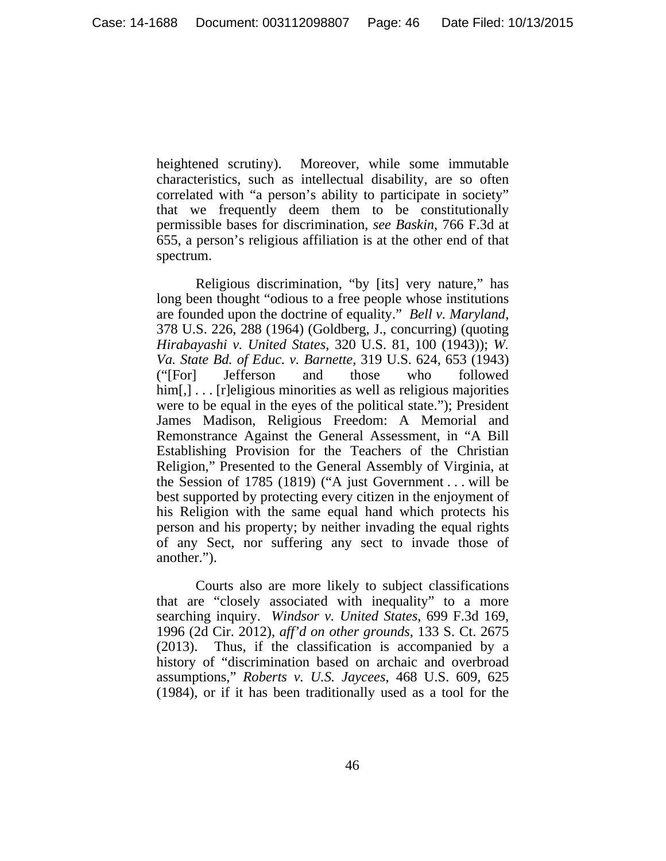heightened scrutiny). Moreover, while some immutable characteristics, such as intellectual disability, are so often correlated with "a person's ability to participate in society" that we frequently deem them to be constitutionally permissible bases for discrimination, *see Baskin*, 766 F.3d at 655, a person's religious affiliation is at the other end of that spectrum.

Religious discrimination, "by [its] very nature," has long been thought "odious to a free people whose institutions are founded upon the doctrine of equality." *Bell v. Maryland*, 378 U.S. 226, 288 (1964) (Goldberg, J., concurring) (quoting *Hirabayashi v. United States*, 320 U.S. 81, 100 (1943)); *W. Va. State Bd. of Educ. v. Barnette*, 319 U.S. 624, 653 (1943) ("[For] Jefferson and those who followed him[,]... [r]eligious minorities as well as religious majorities were to be equal in the eyes of the political state."); President James Madison, Religious Freedom: A Memorial and Remonstrance Against the General Assessment, in "A Bill Establishing Provision for the Teachers of the Christian Religion," Presented to the General Assembly of Virginia, at the Session of 1785 (1819) ("A just Government . . . will be best supported by protecting every citizen in the enjoyment of his Religion with the same equal hand which protects his person and his property; by neither invading the equal rights of any Sect, nor suffering any sect to invade those of another.").

Courts also are more likely to subject classifications that are "closely associated with inequality" to a more searching inquiry. *Windsor v. United States*, 699 F.3d 169, 1996 (2d Cir. 2012), *aff'd on other grounds*, 133 S. Ct. 2675 (2013). Thus, if the classification is accompanied by a history of "discrimination based on archaic and overbroad assumptions," *Roberts v. U.S. Jaycees*, 468 U.S. 609, 625 (1984), or if it has been traditionally used as a tool for the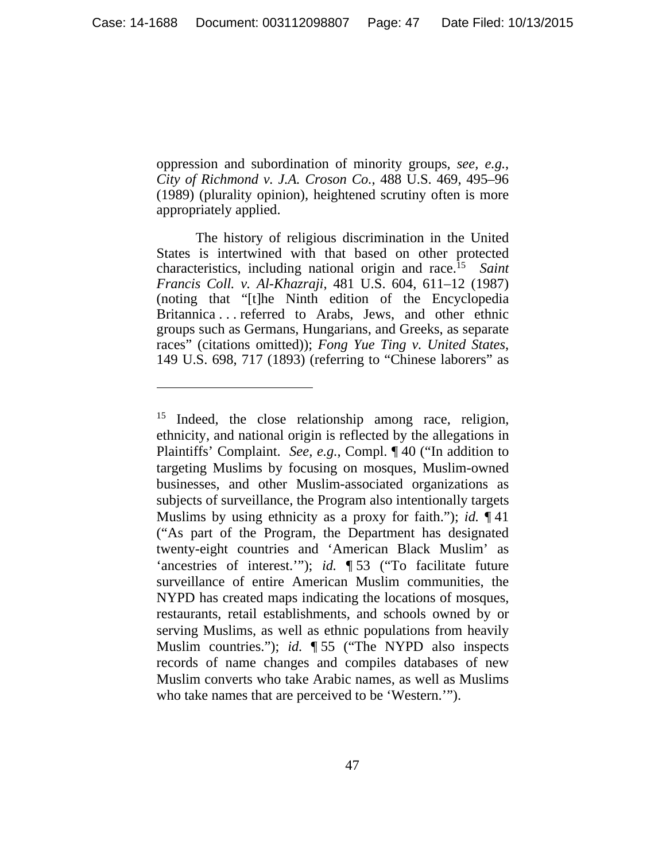oppression and subordination of minority groups, *see, e.g.*, *City of Richmond v. J.A. Croson Co.*, 488 U.S. 469, 495–96 (1989) (plurality opinion), heightened scrutiny often is more appropriately applied.

The history of religious discrimination in the United States is intertwined with that based on other protected characteristics, including national origin and race.15 *Saint Francis Coll. v. Al-Khazraji*, 481 U.S. 604, 611–12 (1987) (noting that "[t]he Ninth edition of the Encyclopedia Britannica . . . referred to Arabs, Jews, and other ethnic groups such as Germans, Hungarians, and Greeks, as separate races" (citations omitted)); *Fong Yue Ting v. United States*, 149 U.S. 698, 717 (1893) (referring to "Chinese laborers" as

 $\overline{a}$ 

<sup>&</sup>lt;sup>15</sup> Indeed, the close relationship among race, religion, ethnicity, and national origin is reflected by the allegations in Plaintiffs' Complaint. *See, e.g.*, Compl. ¶ 40 ("In addition to targeting Muslims by focusing on mosques, Muslim-owned businesses, and other Muslim-associated organizations as subjects of surveillance, the Program also intentionally targets Muslims by using ethnicity as a proxy for faith."); *id.* ¶ 41 ("As part of the Program, the Department has designated twenty-eight countries and 'American Black Muslim' as 'ancestries of interest.'"); *id.* ¶ 53 ("To facilitate future surveillance of entire American Muslim communities, the NYPD has created maps indicating the locations of mosques, restaurants, retail establishments, and schools owned by or serving Muslims, as well as ethnic populations from heavily Muslim countries."); *id.* ¶ 55 ("The NYPD also inspects records of name changes and compiles databases of new Muslim converts who take Arabic names, as well as Muslims who take names that are perceived to be 'Western.'").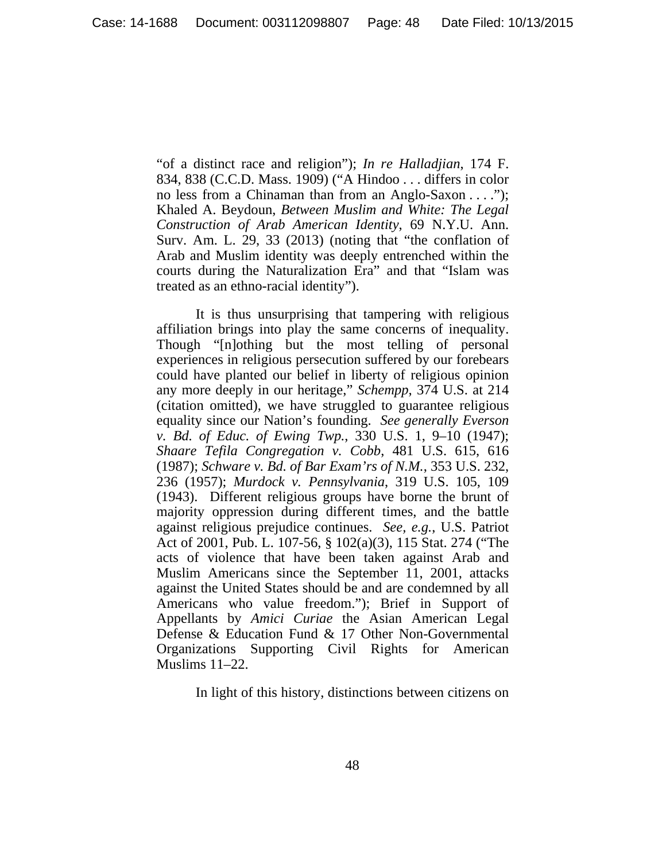"of a distinct race and religion"); *In re Halladjian*, 174 F. 834, 838 (C.C.D. Mass. 1909) ("A Hindoo . . . differs in color no less from a Chinaman than from an Anglo-Saxon . . . ."); Khaled A. Beydoun, *Between Muslim and White: The Legal Construction of Arab American Identity*, 69 N.Y.U. Ann. Surv. Am. L. 29, 33 (2013) (noting that "the conflation of Arab and Muslim identity was deeply entrenched within the courts during the Naturalization Era" and that "Islam was treated as an ethno-racial identity").

It is thus unsurprising that tampering with religious affiliation brings into play the same concerns of inequality. Though "[n]othing but the most telling of personal experiences in religious persecution suffered by our forebears could have planted our belief in liberty of religious opinion any more deeply in our heritage," *Schempp*, 374 U.S. at 214 (citation omitted), we have struggled to guarantee religious equality since our Nation's founding. *See generally Everson v. Bd. of Educ. of Ewing Twp.*, 330 U.S. 1, 9–10 (1947); *Shaare Tefila Congregation v. Cobb*, 481 U.S. 615, 616 (1987); *Schware v. Bd. of Bar Exam'rs of N.M.*, 353 U.S. 232, 236 (1957); *Murdock v. Pennsylvania*, 319 U.S. 105, 109 (1943). Different religious groups have borne the brunt of majority oppression during different times, and the battle against religious prejudice continues. *See, e.g.*, U.S. Patriot Act of 2001, Pub. L. 107-56, § 102(a)(3), 115 Stat. 274 ("The acts of violence that have been taken against Arab and Muslim Americans since the September 11, 2001, attacks against the United States should be and are condemned by all Americans who value freedom."); Brief in Support of Appellants by *Amici Curiae* the Asian American Legal Defense & Education Fund & 17 Other Non-Governmental Organizations Supporting Civil Rights for American Muslims 11–22.

In light of this history, distinctions between citizens on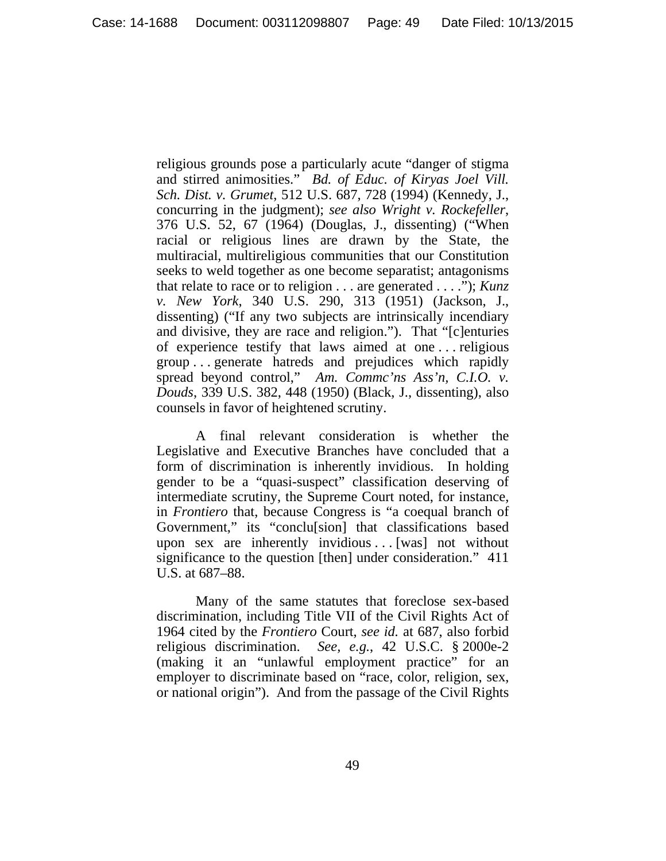religious grounds pose a particularly acute "danger of stigma and stirred animosities." *Bd. of Educ. of Kiryas Joel Vill. Sch. Dist. v. Grumet*, 512 U.S. 687, 728 (1994) (Kennedy, J., concurring in the judgment); *see also Wright v. Rockefeller*, 376 U.S. 52, 67 (1964) (Douglas, J., dissenting) ("When racial or religious lines are drawn by the State, the multiracial, multireligious communities that our Constitution seeks to weld together as one become separatist; antagonisms that relate to race or to religion . . . are generated . . . ."); *Kunz v. New York*, 340 U.S. 290, 313 (1951) (Jackson, J., dissenting) ("If any two subjects are intrinsically incendiary and divisive, they are race and religion."). That "[c]enturies of experience testify that laws aimed at one . . . religious group . . . generate hatreds and prejudices which rapidly spread beyond control," *Am. Commc'ns Ass'n, C.I.O. v. Douds*, 339 U.S. 382, 448 (1950) (Black, J., dissenting), also counsels in favor of heightened scrutiny.

A final relevant consideration is whether the Legislative and Executive Branches have concluded that a form of discrimination is inherently invidious. In holding gender to be a "quasi-suspect" classification deserving of intermediate scrutiny, the Supreme Court noted, for instance, in *Frontiero* that, because Congress is "a coequal branch of Government," its "conclu[sion] that classifications based upon sex are inherently invidious ... [was] not without significance to the question [then] under consideration." 411 U.S. at 687–88.

Many of the same statutes that foreclose sex-based discrimination, including Title VII of the Civil Rights Act of 1964 cited by the *Frontiero* Court, *see id.* at 687, also forbid religious discrimination. *See, e.g.*, 42 U.S.C. § 2000e-2 (making it an "unlawful employment practice" for an employer to discriminate based on "race, color, religion, sex, or national origin"). And from the passage of the Civil Rights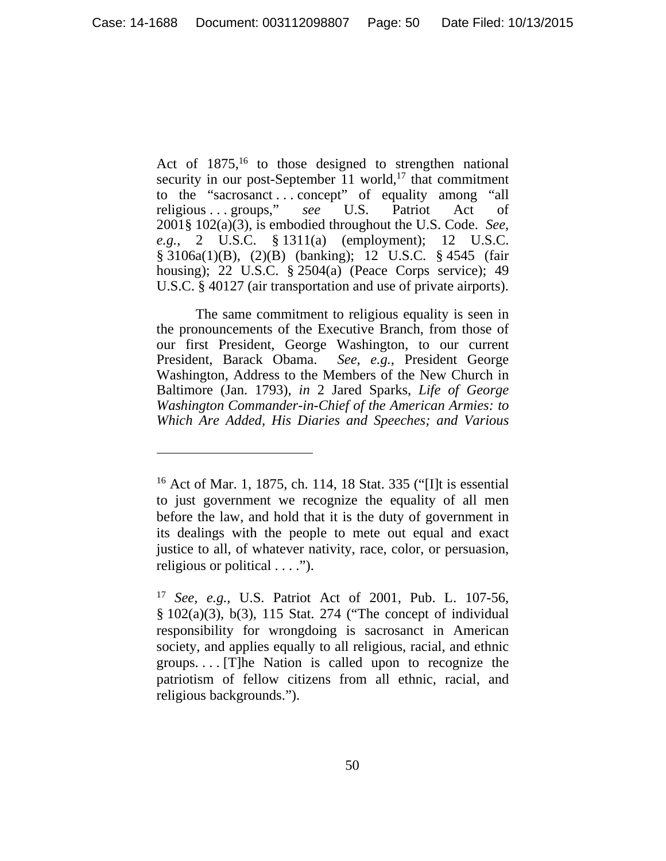Act of  $1875$ ,<sup>16</sup> to those designed to strengthen national security in our post-September 11 world, $17$  that commitment to the "sacrosanct . . . concept" of equality among "all religious . . . groups," *see* U.S. Patriot Act of 2001§ 102(a)(3), is embodied throughout the U.S. Code. *See, e.g.*, 2 U.S.C. § 1311(a) (employment); 12 U.S.C. § 3106a(1)(B), (2)(B) (banking); 12 U.S.C. § 4545 (fair housing); 22 U.S.C. § 2504(a) (Peace Corps service); 49 U.S.C. § 40127 (air transportation and use of private airports).

The same commitment to religious equality is seen in the pronouncements of the Executive Branch, from those of our first President, George Washington, to our current President, Barack Obama. *See, e.g.*, President George Washington, Address to the Members of the New Church in Baltimore (Jan. 1793), *in* 2 Jared Sparks, *Life of George Washington Commander-in-Chief of the American Armies: to Which Are Added, His Diaries and Speeches; and Various* 

 $\overline{a}$ 

<sup>16</sup> Act of Mar. 1, 1875, ch. 114, 18 Stat. 335 ("[I]t is essential to just government we recognize the equality of all men before the law, and hold that it is the duty of government in its dealings with the people to mete out equal and exact justice to all, of whatever nativity, race, color, or persuasion, religious or political . . . .").

<sup>17</sup> *See, e.g.*, U.S. Patriot Act of 2001, Pub. L. 107-56, § 102(a)(3), b(3), 115 Stat. 274 ("The concept of individual responsibility for wrongdoing is sacrosanct in American society, and applies equally to all religious, racial, and ethnic groups. . . . [T]he Nation is called upon to recognize the patriotism of fellow citizens from all ethnic, racial, and religious backgrounds.").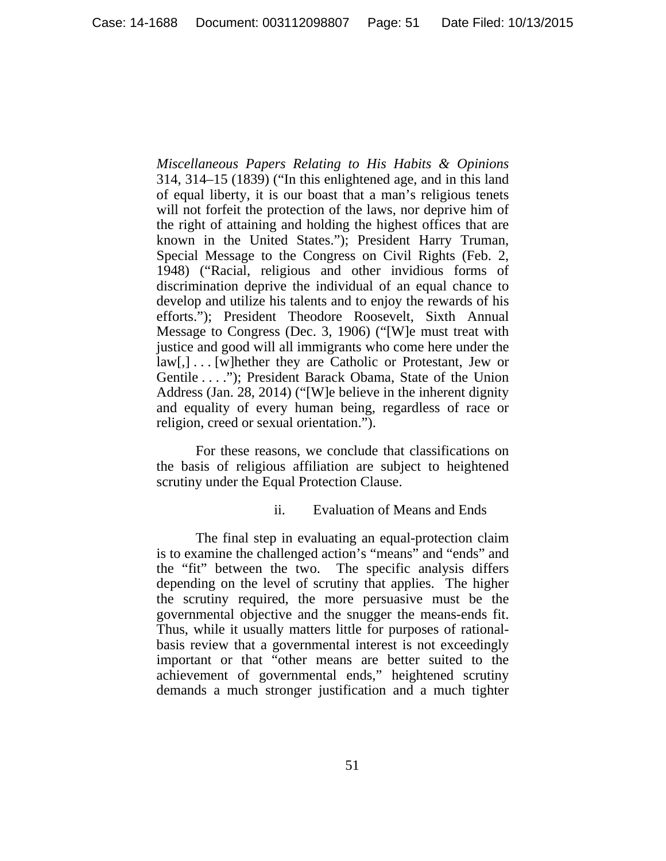*Miscellaneous Papers Relating to His Habits & Opinions* 314, 314–15 (1839) ("In this enlightened age, and in this land of equal liberty, it is our boast that a man's religious tenets will not forfeit the protection of the laws, nor deprive him of the right of attaining and holding the highest offices that are known in the United States."); President Harry Truman, Special Message to the Congress on Civil Rights (Feb. 2, 1948) ("Racial, religious and other invidious forms of discrimination deprive the individual of an equal chance to develop and utilize his talents and to enjoy the rewards of his efforts."); President Theodore Roosevelt, Sixth Annual Message to Congress (Dec. 3, 1906) ("[W]e must treat with justice and good will all immigrants who come here under the law[,] . . . [w]hether they are Catholic or Protestant, Jew or Gentile . . . ."); President Barack Obama, State of the Union Address (Jan. 28, 2014) ("[W]e believe in the inherent dignity and equality of every human being, regardless of race or religion, creed or sexual orientation.").

For these reasons, we conclude that classifications on the basis of religious affiliation are subject to heightened scrutiny under the Equal Protection Clause.

#### ii. Evaluation of Means and Ends

The final step in evaluating an equal-protection claim is to examine the challenged action's "means" and "ends" and the "fit" between the two. The specific analysis differs depending on the level of scrutiny that applies. The higher the scrutiny required, the more persuasive must be the governmental objective and the snugger the means-ends fit. Thus, while it usually matters little for purposes of rationalbasis review that a governmental interest is not exceedingly important or that "other means are better suited to the achievement of governmental ends," heightened scrutiny demands a much stronger justification and a much tighter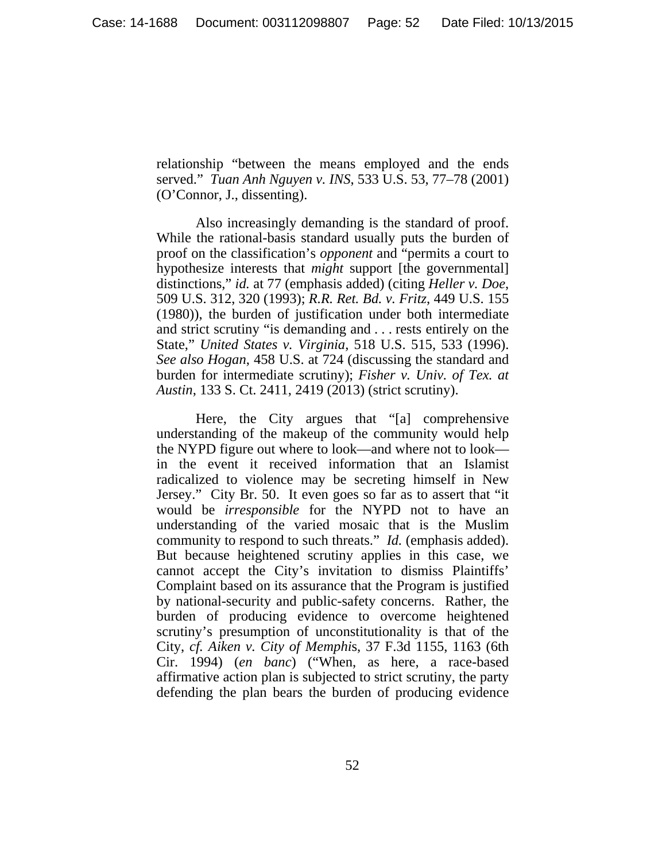relationship "between the means employed and the ends served." *Tuan Anh Nguyen v. INS*, 533 U.S. 53, 77–78 (2001) (O'Connor, J., dissenting).

Also increasingly demanding is the standard of proof. While the rational-basis standard usually puts the burden of proof on the classification's *opponent* and "permits a court to hypothesize interests that *might* support [the governmental] distinctions," *id.* at 77 (emphasis added) (citing *Heller v. Doe*, 509 U.S. 312, 320 (1993); *R.R. Ret. Bd. v. Fritz*, 449 U.S. 155 (1980)), the burden of justification under both intermediate and strict scrutiny "is demanding and . . . rests entirely on the State," *United States v. Virginia*, 518 U.S. 515, 533 (1996). *See also Hogan*, 458 U.S. at 724 (discussing the standard and burden for intermediate scrutiny); *Fisher v. Univ. of Tex. at Austin*, 133 S. Ct. 2411, 2419 (2013) (strict scrutiny).

Here, the City argues that "[a] comprehensive understanding of the makeup of the community would help the NYPD figure out where to look—and where not to look in the event it received information that an Islamist radicalized to violence may be secreting himself in New Jersey." City Br. 50. It even goes so far as to assert that "it would be *irresponsible* for the NYPD not to have an understanding of the varied mosaic that is the Muslim community to respond to such threats." *Id.* (emphasis added). But because heightened scrutiny applies in this case, we cannot accept the City's invitation to dismiss Plaintiffs' Complaint based on its assurance that the Program is justified by national-security and public-safety concerns. Rather, the burden of producing evidence to overcome heightened scrutiny's presumption of unconstitutionality is that of the City, *cf. Aiken v. City of Memphi*s, 37 F.3d 1155, 1163 (6th Cir. 1994) (*en banc*) ("When, as here, a race-based affirmative action plan is subjected to strict scrutiny, the party defending the plan bears the burden of producing evidence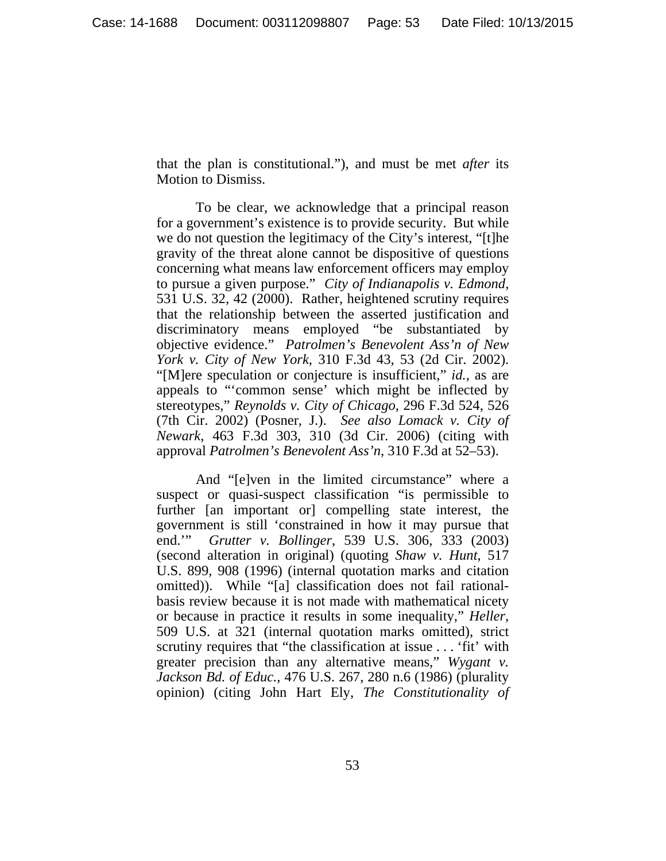that the plan is constitutional."), and must be met *after* its Motion to Dismiss.

To be clear, we acknowledge that a principal reason for a government's existence is to provide security. But while we do not question the legitimacy of the City's interest, "[t]he gravity of the threat alone cannot be dispositive of questions concerning what means law enforcement officers may employ to pursue a given purpose." *City of Indianapolis v. Edmond*, 531 U.S. 32, 42 (2000). Rather, heightened scrutiny requires that the relationship between the asserted justification and discriminatory means employed "be substantiated by objective evidence." *Patrolmen's Benevolent Ass'n of New York v. City of New York*, 310 F.3d 43, 53 (2d Cir. 2002). "[M]ere speculation or conjecture is insufficient," *id.*, as are appeals to "'common sense' which might be inflected by stereotypes," *Reynolds v. City of Chicago*, 296 F.3d 524, 526 (7th Cir. 2002) (Posner, J.). *See also Lomack v. City of Newark*, 463 F.3d 303, 310 (3d Cir. 2006) (citing with approval *Patrolmen's Benevolent Ass'n*, 310 F.3d at 52–53).

And "[e]ven in the limited circumstance" where a suspect or quasi-suspect classification "is permissible to further [an important or] compelling state interest, the government is still 'constrained in how it may pursue that end.'" *Grutter v. Bollinger*, 539 U.S. 306, 333 (2003) (second alteration in original) (quoting *Shaw v. Hunt*, 517 U.S. 899, 908 (1996) (internal quotation marks and citation omitted)). While "[a] classification does not fail rationalbasis review because it is not made with mathematical nicety or because in practice it results in some inequality," *Heller*, 509 U.S. at 321 (internal quotation marks omitted), strict scrutiny requires that "the classification at issue . . . 'fit' with greater precision than any alternative means," *Wygant v. Jackson Bd. of Educ.*, 476 U.S. 267, 280 n.6 (1986) (plurality opinion) (citing John Hart Ely, *The Constitutionality of*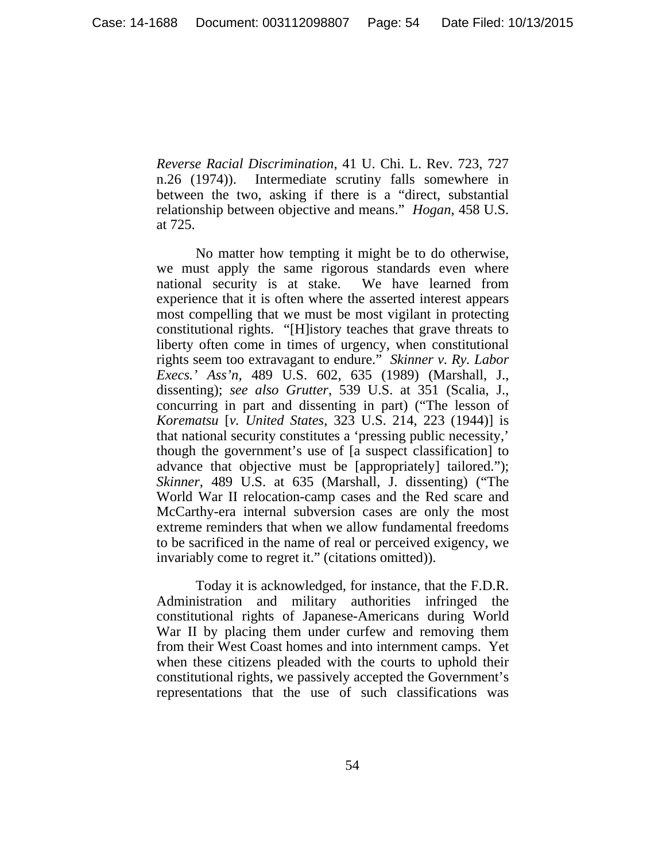*Reverse Racial Discrimination*, 41 U. Chi. L. Rev. 723, 727 n.26 (1974)). Intermediate scrutiny falls somewhere in between the two, asking if there is a "direct, substantial relationship between objective and means." *Hogan*, 458 U.S. at 725.

No matter how tempting it might be to do otherwise, we must apply the same rigorous standards even where national security is at stake. We have learned from experience that it is often where the asserted interest appears most compelling that we must be most vigilant in protecting constitutional rights. "[H]istory teaches that grave threats to liberty often come in times of urgency, when constitutional rights seem too extravagant to endure." *Skinner v. Ry. Labor Execs.' Ass'n*, 489 U.S. 602, 635 (1989) (Marshall, J., dissenting); *see also Grutter*, 539 U.S. at 351 (Scalia, J., concurring in part and dissenting in part) ("The lesson of *Korematsu* [*v. United States*, 323 U.S. 214, 223 (1944)] is that national security constitutes a 'pressing public necessity,' though the government's use of [a suspect classification] to advance that objective must be [appropriately] tailored."); *Skinner*, 489 U.S. at 635 (Marshall, J. dissenting) ("The World War II relocation-camp cases and the Red scare and McCarthy-era internal subversion cases are only the most extreme reminders that when we allow fundamental freedoms to be sacrificed in the name of real or perceived exigency, we invariably come to regret it." (citations omitted)).

Today it is acknowledged, for instance, that the F.D.R. Administration and military authorities infringed the constitutional rights of Japanese-Americans during World War II by placing them under curfew and removing them from their West Coast homes and into internment camps. Yet when these citizens pleaded with the courts to uphold their constitutional rights, we passively accepted the Government's representations that the use of such classifications was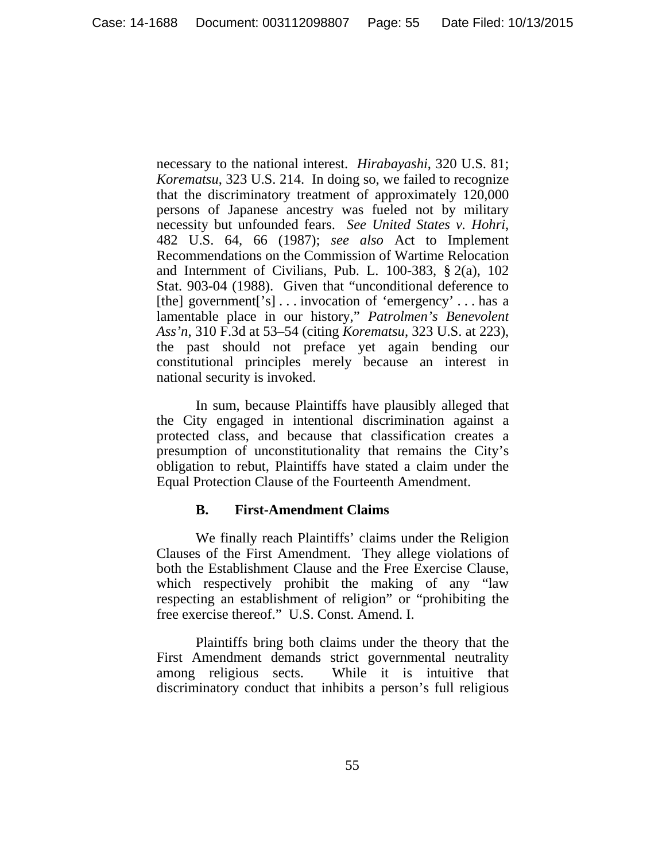necessary to the national interest. *Hirabayashi*, 320 U.S. 81; *Korematsu*, 323 U.S. 214. In doing so, we failed to recognize that the discriminatory treatment of approximately 120,000 persons of Japanese ancestry was fueled not by military necessity but unfounded fears. *See United States v. Hohri*, 482 U.S. 64, 66 (1987); *see also* Act to Implement Recommendations on the Commission of Wartime Relocation and Internment of Civilians, Pub. L. 100-383, § 2(a), 102 Stat. 903-04 (1988). Given that "unconditional deference to [the] government['s] . . . invocation of 'emergency' . . . has a lamentable place in our history," *Patrolmen's Benevolent Ass'n*, 310 F.3d at 53–54 (citing *Korematsu*, 323 U.S. at 223), the past should not preface yet again bending our constitutional principles merely because an interest in national security is invoked.

In sum, because Plaintiffs have plausibly alleged that the City engaged in intentional discrimination against a protected class, and because that classification creates a presumption of unconstitutionality that remains the City's obligation to rebut, Plaintiffs have stated a claim under the Equal Protection Clause of the Fourteenth Amendment.

#### **B. First-Amendment Claims**

We finally reach Plaintiffs' claims under the Religion Clauses of the First Amendment. They allege violations of both the Establishment Clause and the Free Exercise Clause, which respectively prohibit the making of any "law respecting an establishment of religion" or "prohibiting the free exercise thereof." U.S. Const. Amend. I.

Plaintiffs bring both claims under the theory that the First Amendment demands strict governmental neutrality among religious sects. While it is intuitive that discriminatory conduct that inhibits a person's full religious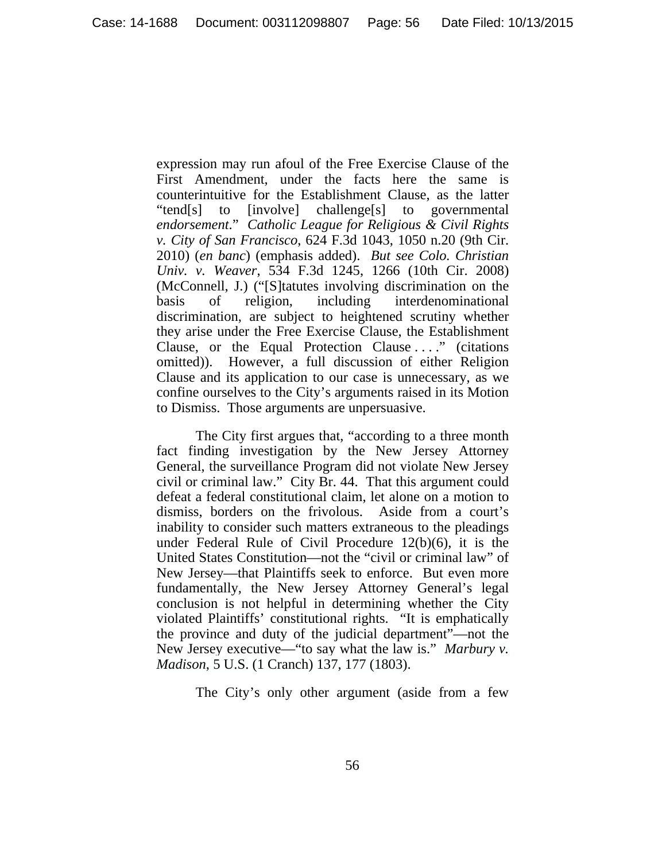expression may run afoul of the Free Exercise Clause of the First Amendment, under the facts here the same is counterintuitive for the Establishment Clause, as the latter "tend[s] to [involve] challenge[s] to governmental *endorsement*." *Catholic League for Religious & Civil Rights v. City of San Francisco*, 624 F.3d 1043, 1050 n.20 (9th Cir. 2010) (*en banc*) (emphasis added). *But see Colo. Christian Univ. v. Weaver*, 534 F.3d 1245, 1266 (10th Cir. 2008) (McConnell, J.) ("[S]tatutes involving discrimination on the basis of religion, including interdenominational discrimination, are subject to heightened scrutiny whether they arise under the Free Exercise Clause, the Establishment Clause, or the Equal Protection Clause . . . ." (citations omitted)). However, a full discussion of either Religion Clause and its application to our case is unnecessary, as we confine ourselves to the City's arguments raised in its Motion to Dismiss. Those arguments are unpersuasive.

The City first argues that, "according to a three month fact finding investigation by the New Jersey Attorney General, the surveillance Program did not violate New Jersey civil or criminal law." City Br. 44. That this argument could defeat a federal constitutional claim, let alone on a motion to dismiss, borders on the frivolous. Aside from a court's inability to consider such matters extraneous to the pleadings under Federal Rule of Civil Procedure 12(b)(6), it is the United States Constitution—not the "civil or criminal law" of New Jersey—that Plaintiffs seek to enforce. But even more fundamentally, the New Jersey Attorney General's legal conclusion is not helpful in determining whether the City violated Plaintiffs' constitutional rights. "It is emphatically the province and duty of the judicial department"—not the New Jersey executive—"to say what the law is." *Marbury v. Madison*, 5 U.S. (1 Cranch) 137, 177 (1803).

The City's only other argument (aside from a few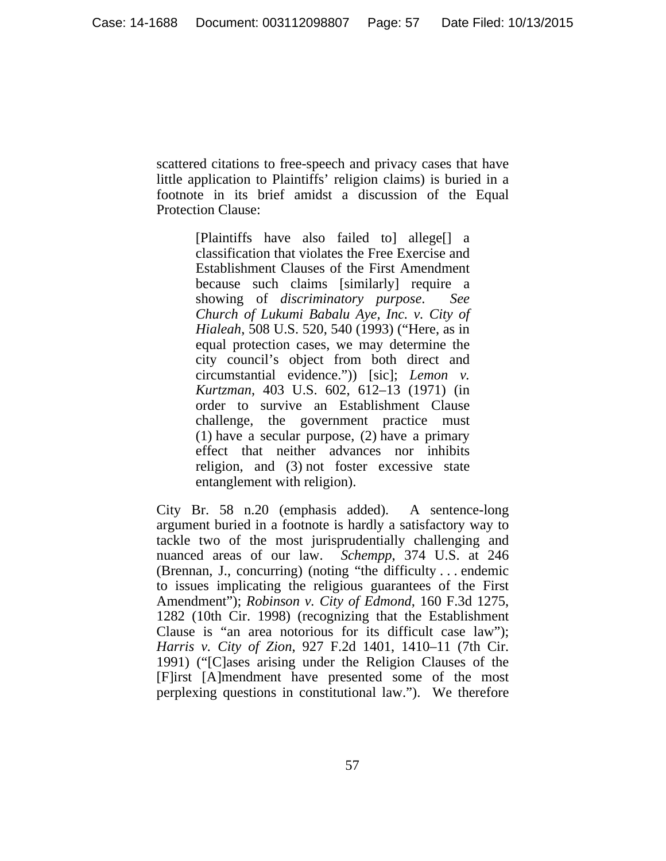scattered citations to free-speech and privacy cases that have little application to Plaintiffs' religion claims) is buried in a footnote in its brief amidst a discussion of the Equal Protection Clause:

> [Plaintiffs have also failed to] allege[] a classification that violates the Free Exercise and Establishment Clauses of the First Amendment because such claims [similarly] require a showing of *discriminatory purpose*. *See Church of Lukumi Babalu Aye, Inc. v. City of Hialeah*, 508 U.S. 520, 540 (1993) ("Here, as in equal protection cases, we may determine the city council's object from both direct and circumstantial evidence.")) [sic]; *Lemon v. Kurtzman*, 403 U.S. 602, 612–13 (1971) (in order to survive an Establishment Clause challenge, the government practice must (1) have a secular purpose, (2) have a primary effect that neither advances nor inhibits religion, and (3) not foster excessive state entanglement with religion).

City Br. 58 n.20 (emphasis added). A sentence-long argument buried in a footnote is hardly a satisfactory way to tackle two of the most jurisprudentially challenging and nuanced areas of our law. *Schempp*, 374 U.S. at 246 (Brennan, J., concurring) (noting "the difficulty . . . endemic to issues implicating the religious guarantees of the First Amendment"); *Robinson v. City of Edmond*, 160 F.3d 1275, 1282 (10th Cir. 1998) (recognizing that the Establishment Clause is "an area notorious for its difficult case law"); *Harris v. City of Zion*, 927 F.2d 1401, 1410–11 (7th Cir. 1991) ("[C]ases arising under the Religion Clauses of the [F]irst [A]mendment have presented some of the most perplexing questions in constitutional law."). We therefore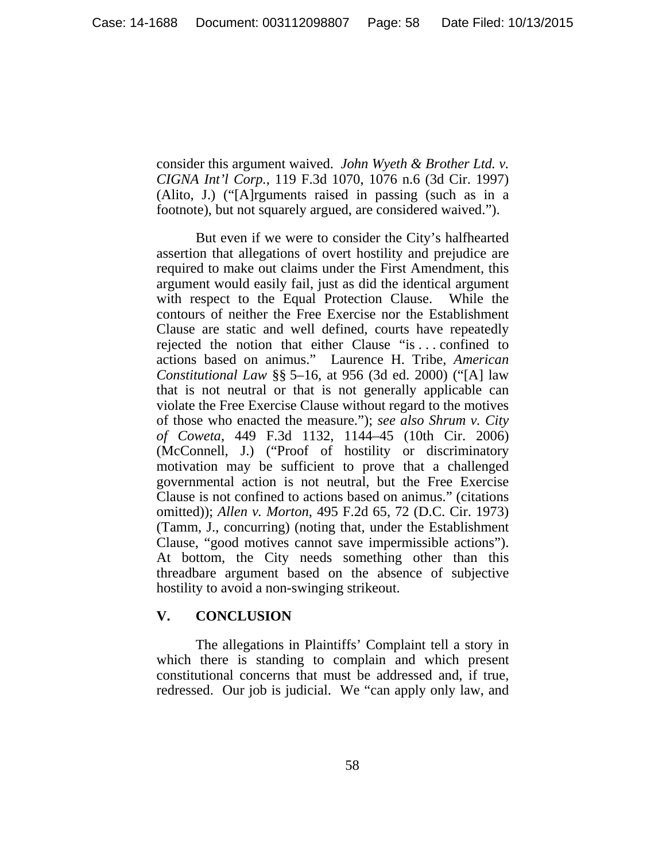consider this argument waived. *John Wyeth & Brother Ltd. v. CIGNA Int'l Corp.*, 119 F.3d 1070, 1076 n.6 (3d Cir. 1997) (Alito, J.) ("[A]rguments raised in passing (such as in a footnote), but not squarely argued, are considered waived.").

 But even if we were to consider the City's halfhearted assertion that allegations of overt hostility and prejudice are required to make out claims under the First Amendment, this argument would easily fail, just as did the identical argument with respect to the Equal Protection Clause. While the contours of neither the Free Exercise nor the Establishment Clause are static and well defined, courts have repeatedly rejected the notion that either Clause "is . . . confined to actions based on animus." Laurence H. Tribe, *American Constitutional Law* §§ 5–16, at 956 (3d ed. 2000) ("[A] law that is not neutral or that is not generally applicable can violate the Free Exercise Clause without regard to the motives of those who enacted the measure."); *see also Shrum v. City of Coweta*, 449 F.3d 1132, 1144–45 (10th Cir. 2006) (McConnell, J.) ("Proof of hostility or discriminatory motivation may be sufficient to prove that a challenged governmental action is not neutral, but the Free Exercise Clause is not confined to actions based on animus." (citations omitted)); *Allen v. Morton*, 495 F.2d 65, 72 (D.C. Cir. 1973) (Tamm, J., concurring) (noting that, under the Establishment Clause, "good motives cannot save impermissible actions"). At bottom, the City needs something other than this threadbare argument based on the absence of subjective hostility to avoid a non-swinging strikeout.

# **V. CONCLUSION**

The allegations in Plaintiffs' Complaint tell a story in which there is standing to complain and which present constitutional concerns that must be addressed and, if true, redressed. Our job is judicial. We "can apply only law, and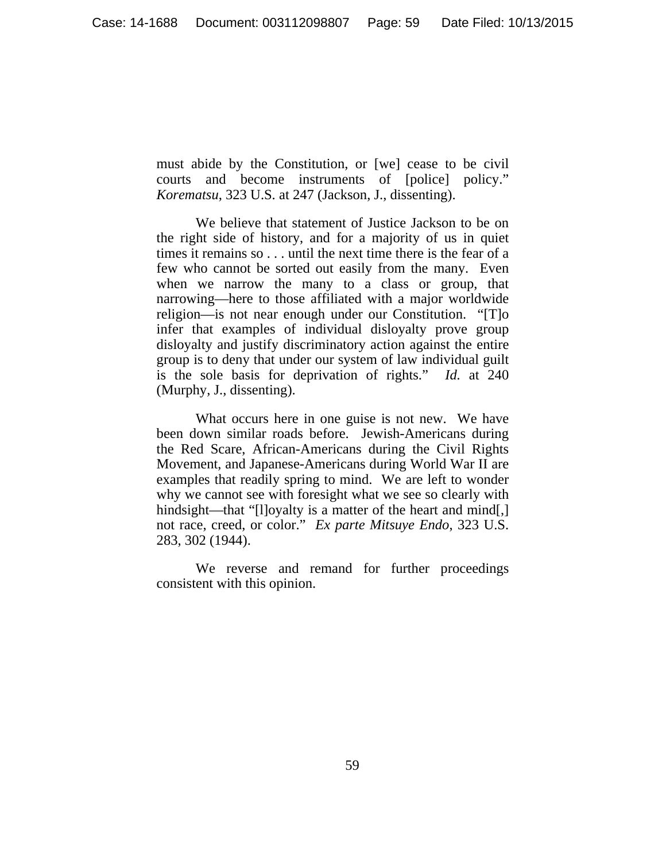must abide by the Constitution, or [we] cease to be civil courts and become instruments of [police] policy." *Korematsu*, 323 U.S. at 247 (Jackson, J., dissenting).

We believe that statement of Justice Jackson to be on the right side of history, and for a majority of us in quiet times it remains so . . . until the next time there is the fear of a few who cannot be sorted out easily from the many. Even when we narrow the many to a class or group, that narrowing—here to those affiliated with a major worldwide religion—is not near enough under our Constitution. "[T]o infer that examples of individual disloyalty prove group disloyalty and justify discriminatory action against the entire group is to deny that under our system of law individual guilt is the sole basis for deprivation of rights." *Id.* at 240 (Murphy, J., dissenting).

 What occurs here in one guise is not new. We have been down similar roads before. Jewish-Americans during the Red Scare, African-Americans during the Civil Rights Movement, and Japanese-Americans during World War II are examples that readily spring to mind. We are left to wonder why we cannot see with foresight what we see so clearly with hindsight—that "[l]oyalty is a matter of the heart and mind[,] not race, creed, or color." *Ex parte Mitsuye Endo*, 323 U.S. 283, 302 (1944).

We reverse and remand for further proceedings consistent with this opinion.